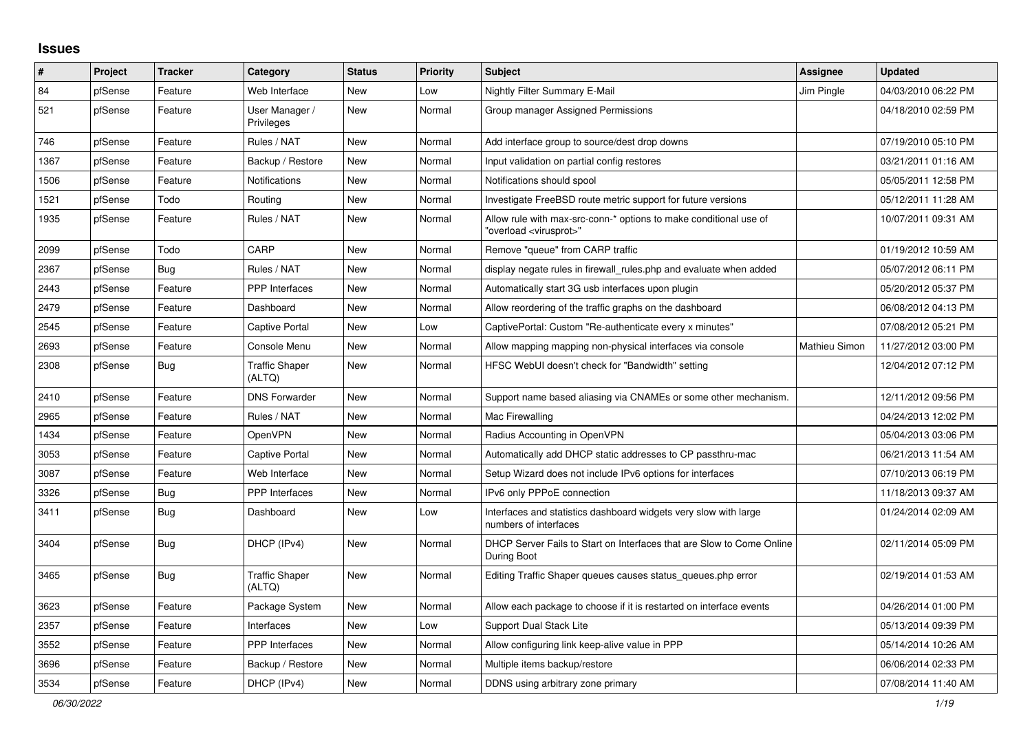## **Issues**

| ∦    | <b>Project</b> | <b>Tracker</b> | Category                        | <b>Status</b> | <b>Priority</b> | <b>Subject</b>                                                                                          | Assignee      | <b>Updated</b>      |
|------|----------------|----------------|---------------------------------|---------------|-----------------|---------------------------------------------------------------------------------------------------------|---------------|---------------------|
| 84   | pfSense        | Feature        | Web Interface                   | <b>New</b>    | Low             | <b>Nightly Filter Summary E-Mail</b>                                                                    | Jim Pingle    | 04/03/2010 06:22 PM |
| 521  | pfSense        | Feature        | User Manager /<br>Privileges    | New           | Normal          | Group manager Assigned Permissions                                                                      |               | 04/18/2010 02:59 PM |
| 746  | pfSense        | Feature        | Rules / NAT                     | <b>New</b>    | Normal          | Add interface group to source/dest drop downs                                                           |               | 07/19/2010 05:10 PM |
| 1367 | pfSense        | Feature        | Backup / Restore                | <b>New</b>    | Normal          | Input validation on partial config restores                                                             |               | 03/21/2011 01:16 AM |
| 1506 | pfSense        | Feature        | Notifications                   | New           | Normal          | Notifications should spool                                                                              |               | 05/05/2011 12:58 PM |
| 1521 | pfSense        | Todo           | Routing                         | New           | Normal          | Investigate FreeBSD route metric support for future versions                                            |               | 05/12/2011 11:28 AM |
| 1935 | pfSense        | Feature        | Rules / NAT                     | New           | Normal          | Allow rule with max-src-conn-* options to make conditional use of<br>"overload <virusprot>"</virusprot> |               | 10/07/2011 09:31 AM |
| 2099 | pfSense        | Todo           | CARP                            | New           | Normal          | Remove "queue" from CARP traffic                                                                        |               | 01/19/2012 10:59 AM |
| 2367 | pfSense        | Bug            | Rules / NAT                     | New           | Normal          | display negate rules in firewall rules php and evaluate when added                                      |               | 05/07/2012 06:11 PM |
| 2443 | pfSense        | Feature        | PPP Interfaces                  | <b>New</b>    | Normal          | Automatically start 3G usb interfaces upon plugin                                                       |               | 05/20/2012 05:37 PM |
| 2479 | pfSense        | Feature        | Dashboard                       | New           | Normal          | Allow reordering of the traffic graphs on the dashboard                                                 |               | 06/08/2012 04:13 PM |
| 2545 | pfSense        | Feature        | <b>Captive Portal</b>           | New           | Low             | CaptivePortal: Custom "Re-authenticate every x minutes"                                                 |               | 07/08/2012 05:21 PM |
| 2693 | pfSense        | Feature        | Console Menu                    | <b>New</b>    | Normal          | Allow mapping mapping non-physical interfaces via console                                               | Mathieu Simon | 11/27/2012 03:00 PM |
| 2308 | pfSense        | Bug            | <b>Traffic Shaper</b><br>(ALTQ) | New           | Normal          | HFSC WebUI doesn't check for "Bandwidth" setting                                                        |               | 12/04/2012 07:12 PM |
| 2410 | pfSense        | Feature        | <b>DNS Forwarder</b>            | New           | Normal          | Support name based aliasing via CNAMEs or some other mechanism.                                         |               | 12/11/2012 09:56 PM |
| 2965 | pfSense        | Feature        | Rules / NAT                     | New           | Normal          | Mac Firewalling                                                                                         |               | 04/24/2013 12:02 PM |
| 1434 | pfSense        | Feature        | <b>OpenVPN</b>                  | New           | Normal          | Radius Accounting in OpenVPN                                                                            |               | 05/04/2013 03:06 PM |
| 3053 | pfSense        | Feature        | Captive Portal                  | New           | Normal          | Automatically add DHCP static addresses to CP passthru-mac                                              |               | 06/21/2013 11:54 AM |
| 3087 | pfSense        | Feature        | Web Interface                   | <b>New</b>    | Normal          | Setup Wizard does not include IPv6 options for interfaces                                               |               | 07/10/2013 06:19 PM |
| 3326 | pfSense        | Bug            | <b>PPP</b> Interfaces           | <b>New</b>    | Normal          | IPv6 only PPPoE connection                                                                              |               | 11/18/2013 09:37 AM |
| 3411 | pfSense        | Bug            | Dashboard                       | <b>New</b>    | Low             | Interfaces and statistics dashboard widgets very slow with large<br>numbers of interfaces               |               | 01/24/2014 02:09 AM |
| 3404 | pfSense        | Bug            | DHCP (IPv4)                     | <b>New</b>    | Normal          | DHCP Server Fails to Start on Interfaces that are Slow to Come Online<br>During Boot                    |               | 02/11/2014 05:09 PM |
| 3465 | pfSense        | <b>Bug</b>     | <b>Traffic Shaper</b><br>(ALTQ) | <b>New</b>    | Normal          | Editing Traffic Shaper queues causes status_queues.php error                                            |               | 02/19/2014 01:53 AM |
| 3623 | pfSense        | Feature        | Package System                  | <b>New</b>    | Normal          | Allow each package to choose if it is restarted on interface events                                     |               | 04/26/2014 01:00 PM |
| 2357 | pfSense        | Feature        | Interfaces                      | <b>New</b>    | Low             | <b>Support Dual Stack Lite</b>                                                                          |               | 05/13/2014 09:39 PM |
| 3552 | pfSense        | Feature        | PPP Interfaces                  | <b>New</b>    | Normal          | Allow configuring link keep-alive value in PPP                                                          |               | 05/14/2014 10:26 AM |
| 3696 | pfSense        | Feature        | Backup / Restore                | New           | Normal          | Multiple items backup/restore                                                                           |               | 06/06/2014 02:33 PM |
| 3534 | pfSense        | Feature        | DHCP (IPv4)                     | New           | Normal          | DDNS using arbitrary zone primary                                                                       |               | 07/08/2014 11:40 AM |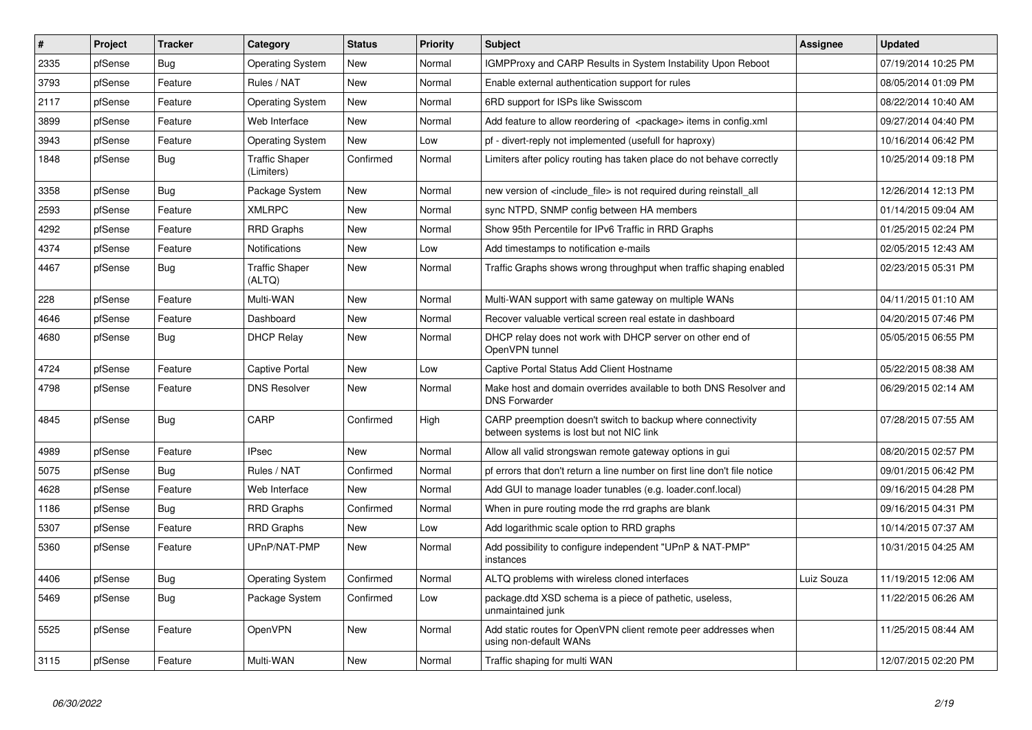| $\vert$ # | Project | Tracker    | Category                            | <b>Status</b> | <b>Priority</b> | <b>Subject</b>                                                                                          | <b>Assignee</b> | <b>Updated</b>      |
|-----------|---------|------------|-------------------------------------|---------------|-----------------|---------------------------------------------------------------------------------------------------------|-----------------|---------------------|
| 2335      | pfSense | Bug        | <b>Operating System</b>             | <b>New</b>    | Normal          | <b>IGMPProxy and CARP Results in System Instability Upon Reboot</b>                                     |                 | 07/19/2014 10:25 PM |
| 3793      | pfSense | Feature    | Rules / NAT                         | <b>New</b>    | Normal          | Enable external authentication support for rules                                                        |                 | 08/05/2014 01:09 PM |
| 2117      | pfSense | Feature    | <b>Operating System</b>             | <b>New</b>    | Normal          | 6RD support for ISPs like Swisscom                                                                      |                 | 08/22/2014 10:40 AM |
| 3899      | pfSense | Feature    | Web Interface                       | <b>New</b>    | Normal          | Add feature to allow reordering of <package> items in config.xml</package>                              |                 | 09/27/2014 04:40 PM |
| 3943      | pfSense | Feature    | <b>Operating System</b>             | <b>New</b>    | Low             | pf - divert-reply not implemented (usefull for haproxy)                                                 |                 | 10/16/2014 06:42 PM |
| 1848      | pfSense | Bug        | <b>Traffic Shaper</b><br>(Limiters) | Confirmed     | Normal          | Limiters after policy routing has taken place do not behave correctly                                   |                 | 10/25/2014 09:18 PM |
| 3358      | pfSense | Bug        | Package System                      | New           | Normal          | new version of <include file=""> is not required during reinstall all</include>                         |                 | 12/26/2014 12:13 PM |
| 2593      | pfSense | Feature    | <b>XMLRPC</b>                       | New           | Normal          | sync NTPD, SNMP config between HA members                                                               |                 | 01/14/2015 09:04 AM |
| 4292      | pfSense | Feature    | <b>RRD Graphs</b>                   | <b>New</b>    | Normal          | Show 95th Percentile for IPv6 Traffic in RRD Graphs                                                     |                 | 01/25/2015 02:24 PM |
| 4374      | pfSense | Feature    | <b>Notifications</b>                | <b>New</b>    | Low             | Add timestamps to notification e-mails                                                                  |                 | 02/05/2015 12:43 AM |
| 4467      | pfSense | Bug        | <b>Traffic Shaper</b><br>(ALTQ)     | <b>New</b>    | Normal          | Traffic Graphs shows wrong throughput when traffic shaping enabled                                      |                 | 02/23/2015 05:31 PM |
| 228       | pfSense | Feature    | Multi-WAN                           | <b>New</b>    | Normal          | Multi-WAN support with same gateway on multiple WANs                                                    |                 | 04/11/2015 01:10 AM |
| 4646      | pfSense | Feature    | Dashboard                           | New           | Normal          | Recover valuable vertical screen real estate in dashboard                                               |                 | 04/20/2015 07:46 PM |
| 4680      | pfSense | Bug        | <b>DHCP Relay</b>                   | New           | Normal          | DHCP relay does not work with DHCP server on other end of<br>OpenVPN tunnel                             |                 | 05/05/2015 06:55 PM |
| 4724      | pfSense | Feature    | <b>Captive Portal</b>               | <b>New</b>    | Low             | Captive Portal Status Add Client Hostname                                                               |                 | 05/22/2015 08:38 AM |
| 4798      | pfSense | Feature    | <b>DNS Resolver</b>                 | New           | Normal          | Make host and domain overrides available to both DNS Resolver and<br><b>DNS Forwarder</b>               |                 | 06/29/2015 02:14 AM |
| 4845      | pfSense | <b>Bug</b> | CARP                                | Confirmed     | High            | CARP preemption doesn't switch to backup where connectivity<br>between systems is lost but not NIC link |                 | 07/28/2015 07:55 AM |
| 4989      | pfSense | Feature    | <b>IPsec</b>                        | <b>New</b>    | Normal          | Allow all valid strongswan remote gateway options in gui                                                |                 | 08/20/2015 02:57 PM |
| 5075      | pfSense | <b>Bug</b> | Rules / NAT                         | Confirmed     | Normal          | pf errors that don't return a line number on first line don't file notice                               |                 | 09/01/2015 06:42 PM |
| 4628      | pfSense | Feature    | Web Interface                       | New           | Normal          | Add GUI to manage loader tunables (e.g. loader.conf.local)                                              |                 | 09/16/2015 04:28 PM |
| 1186      | pfSense | Bug        | <b>RRD Graphs</b>                   | Confirmed     | Normal          | When in pure routing mode the rrd graphs are blank                                                      |                 | 09/16/2015 04:31 PM |
| 5307      | pfSense | Feature    | <b>RRD Graphs</b>                   | <b>New</b>    | Low             | Add logarithmic scale option to RRD graphs                                                              |                 | 10/14/2015 07:37 AM |
| 5360      | pfSense | Feature    | UPnP/NAT-PMP                        | <b>New</b>    | Normal          | Add possibility to configure independent "UPnP & NAT-PMP"<br>instances                                  |                 | 10/31/2015 04:25 AM |
| 4406      | pfSense | Bug        | <b>Operating System</b>             | Confirmed     | Normal          | ALTQ problems with wireless cloned interfaces                                                           | Luiz Souza      | 11/19/2015 12:06 AM |
| 5469      | pfSense | <b>Bug</b> | Package System                      | Confirmed     | Low             | package.dtd XSD schema is a piece of pathetic, useless,<br>unmaintained junk                            |                 | 11/22/2015 06:26 AM |
| 5525      | pfSense | Feature    | OpenVPN                             | New           | Normal          | Add static routes for OpenVPN client remote peer addresses when<br>using non-default WANs               |                 | 11/25/2015 08:44 AM |
| 3115      | pfSense | Feature    | Multi-WAN                           | <b>New</b>    | Normal          | Traffic shaping for multi WAN                                                                           |                 | 12/07/2015 02:20 PM |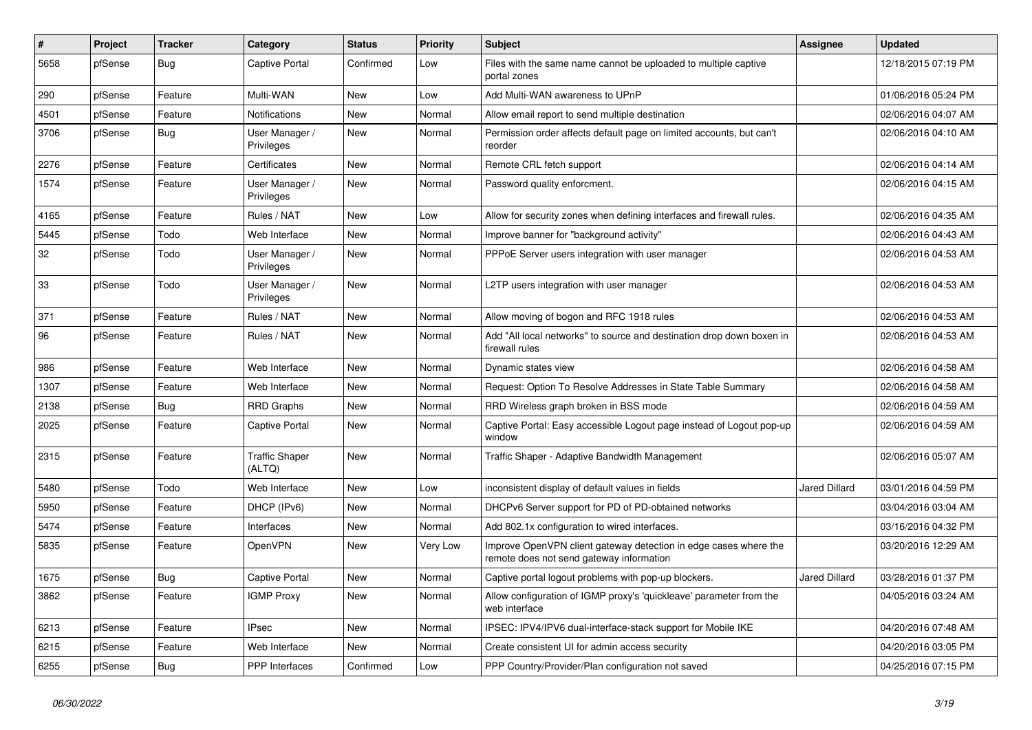| #    | Project | <b>Tracker</b> | Category                        | <b>Status</b> | Priority | <b>Subject</b>                                                                                               | Assignee             | <b>Updated</b>      |
|------|---------|----------------|---------------------------------|---------------|----------|--------------------------------------------------------------------------------------------------------------|----------------------|---------------------|
| 5658 | pfSense | <b>Bug</b>     | Captive Portal                  | Confirmed     | Low      | Files with the same name cannot be uploaded to multiple captive<br>portal zones                              |                      | 12/18/2015 07:19 PM |
| 290  | pfSense | Feature        | Multi-WAN                       | <b>New</b>    | Low      | Add Multi-WAN awareness to UPnP                                                                              |                      | 01/06/2016 05:24 PM |
| 4501 | pfSense | Feature        | Notifications                   | <b>New</b>    | Normal   | Allow email report to send multiple destination                                                              |                      | 02/06/2016 04:07 AM |
| 3706 | pfSense | Bug            | User Manager /<br>Privileges    | <b>New</b>    | Normal   | Permission order affects default page on limited accounts, but can't<br>reorder                              |                      | 02/06/2016 04:10 AM |
| 2276 | pfSense | Feature        | Certificates                    | New           | Normal   | Remote CRL fetch support                                                                                     |                      | 02/06/2016 04:14 AM |
| 1574 | pfSense | Feature        | User Manager /<br>Privileges    | New           | Normal   | Password quality enforcment.                                                                                 |                      | 02/06/2016 04:15 AM |
| 4165 | pfSense | Feature        | Rules / NAT                     | New           | Low      | Allow for security zones when defining interfaces and firewall rules.                                        |                      | 02/06/2016 04:35 AM |
| 5445 | pfSense | Todo           | Web Interface                   | <b>New</b>    | Normal   | Improve banner for "background activity"                                                                     |                      | 02/06/2016 04:43 AM |
| 32   | pfSense | Todo           | User Manager /<br>Privileges    | <b>New</b>    | Normal   | PPPoE Server users integration with user manager                                                             |                      | 02/06/2016 04:53 AM |
| 33   | pfSense | Todo           | User Manager /<br>Privileges    | <b>New</b>    | Normal   | L2TP users integration with user manager                                                                     |                      | 02/06/2016 04:53 AM |
| 371  | pfSense | Feature        | Rules / NAT                     | New           | Normal   | Allow moving of bogon and RFC 1918 rules                                                                     |                      | 02/06/2016 04:53 AM |
| 96   | pfSense | Feature        | Rules / NAT                     | New           | Normal   | Add "All local networks" to source and destination drop down boxen in<br>firewall rules                      |                      | 02/06/2016 04:53 AM |
| 986  | pfSense | Feature        | Web Interface                   | <b>New</b>    | Normal   | Dynamic states view                                                                                          |                      | 02/06/2016 04:58 AM |
| 1307 | pfSense | Feature        | Web Interface                   | New           | Normal   | Request: Option To Resolve Addresses in State Table Summary                                                  |                      | 02/06/2016 04:58 AM |
| 2138 | pfSense | Bug            | <b>RRD Graphs</b>               | <b>New</b>    | Normal   | RRD Wireless graph broken in BSS mode                                                                        |                      | 02/06/2016 04:59 AM |
| 2025 | pfSense | Feature        | Captive Portal                  | <b>New</b>    | Normal   | Captive Portal: Easy accessible Logout page instead of Logout pop-up<br>window                               |                      | 02/06/2016 04:59 AM |
| 2315 | pfSense | Feature        | <b>Traffic Shaper</b><br>(ALTQ) | <b>New</b>    | Normal   | Traffic Shaper - Adaptive Bandwidth Management                                                               |                      | 02/06/2016 05:07 AM |
| 5480 | pfSense | Todo           | Web Interface                   | <b>New</b>    | Low      | inconsistent display of default values in fields                                                             | Jared Dillard        | 03/01/2016 04:59 PM |
| 5950 | pfSense | Feature        | DHCP (IPv6)                     | New           | Normal   | DHCPv6 Server support for PD of PD-obtained networks                                                         |                      | 03/04/2016 03:04 AM |
| 5474 | pfSense | Feature        | Interfaces                      | New           | Normal   | Add 802.1x configuration to wired interfaces.                                                                |                      | 03/16/2016 04:32 PM |
| 5835 | pfSense | Feature        | OpenVPN                         | New           | Very Low | Improve OpenVPN client gateway detection in edge cases where the<br>remote does not send gateway information |                      | 03/20/2016 12:29 AM |
| 1675 | pfSense | <b>Bug</b>     | Captive Portal                  | New           | Normal   | Captive portal logout problems with pop-up blockers.                                                         | <b>Jared Dillard</b> | 03/28/2016 01:37 PM |
| 3862 | pfSense | Feature        | <b>IGMP Proxy</b>               | <b>New</b>    | Normal   | Allow configuration of IGMP proxy's 'quickleave' parameter from the<br>web interface                         |                      | 04/05/2016 03:24 AM |
| 6213 | pfSense | Feature        | <b>IPsec</b>                    | New           | Normal   | IPSEC: IPV4/IPV6 dual-interface-stack support for Mobile IKE                                                 |                      | 04/20/2016 07:48 AM |
| 6215 | pfSense | Feature        | Web Interface                   | New           | Normal   | Create consistent UI for admin access security                                                               |                      | 04/20/2016 03:05 PM |
| 6255 | pfSense | <b>Bug</b>     | <b>PPP</b> Interfaces           | Confirmed     | Low      | PPP Country/Provider/Plan configuration not saved                                                            |                      | 04/25/2016 07:15 PM |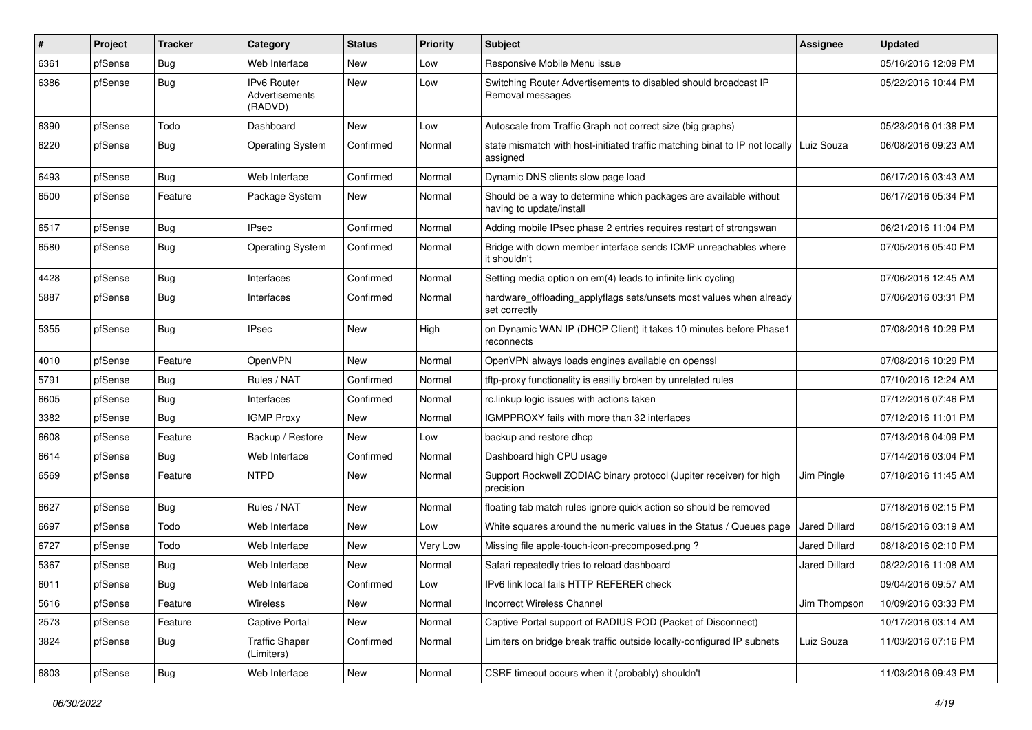| #    | Project | <b>Tracker</b> | Category                                        | <b>Status</b> | Priority | <b>Subject</b>                                                                                     | Assignee             | <b>Updated</b>      |
|------|---------|----------------|-------------------------------------------------|---------------|----------|----------------------------------------------------------------------------------------------------|----------------------|---------------------|
| 6361 | pfSense | Bug            | Web Interface                                   | New           | Low      | Responsive Mobile Menu issue                                                                       |                      | 05/16/2016 12:09 PM |
| 6386 | pfSense | Bug            | <b>IPv6 Router</b><br>Advertisements<br>(RADVD) | New           | Low      | Switching Router Advertisements to disabled should broadcast IP<br>Removal messages                |                      | 05/22/2016 10:44 PM |
| 6390 | pfSense | Todo           | Dashboard                                       | New           | Low      | Autoscale from Traffic Graph not correct size (big graphs)                                         |                      | 05/23/2016 01:38 PM |
| 6220 | pfSense | Bug            | <b>Operating System</b>                         | Confirmed     | Normal   | state mismatch with host-initiated traffic matching binat to IP not locally Luiz Souza<br>assigned |                      | 06/08/2016 09:23 AM |
| 6493 | pfSense | Bug            | Web Interface                                   | Confirmed     | Normal   | Dynamic DNS clients slow page load                                                                 |                      | 06/17/2016 03:43 AM |
| 6500 | pfSense | Feature        | Package System                                  | New           | Normal   | Should be a way to determine which packages are available without<br>having to update/install      |                      | 06/17/2016 05:34 PM |
| 6517 | pfSense | Bug            | IPsec                                           | Confirmed     | Normal   | Adding mobile IPsec phase 2 entries requires restart of strongswan                                 |                      | 06/21/2016 11:04 PM |
| 6580 | pfSense | Bug            | <b>Operating System</b>                         | Confirmed     | Normal   | Bridge with down member interface sends ICMP unreachables where<br>it shouldn't                    |                      | 07/05/2016 05:40 PM |
| 4428 | pfSense | Bug            | Interfaces                                      | Confirmed     | Normal   | Setting media option on em(4) leads to infinite link cycling                                       |                      | 07/06/2016 12:45 AM |
| 5887 | pfSense | Bug            | Interfaces                                      | Confirmed     | Normal   | hardware_offloading_applyflags sets/unsets most values when already<br>set correctly               |                      | 07/06/2016 03:31 PM |
| 5355 | pfSense | Bug            | IPsec                                           | New           | High     | on Dynamic WAN IP (DHCP Client) it takes 10 minutes before Phase1<br>reconnects                    |                      | 07/08/2016 10:29 PM |
| 4010 | pfSense | Feature        | OpenVPN                                         | <b>New</b>    | Normal   | OpenVPN always loads engines available on openssl                                                  |                      | 07/08/2016 10:29 PM |
| 5791 | pfSense | <b>Bug</b>     | Rules / NAT                                     | Confirmed     | Normal   | tftp-proxy functionality is easilly broken by unrelated rules                                      |                      | 07/10/2016 12:24 AM |
| 6605 | pfSense | Bug            | Interfaces                                      | Confirmed     | Normal   | rc.linkup logic issues with actions taken                                                          |                      | 07/12/2016 07:46 PM |
| 3382 | pfSense | Bug            | <b>IGMP Proxy</b>                               | New           | Normal   | IGMPPROXY fails with more than 32 interfaces                                                       |                      | 07/12/2016 11:01 PM |
| 6608 | pfSense | Feature        | Backup / Restore                                | New           | Low      | backup and restore dhcp                                                                            |                      | 07/13/2016 04:09 PM |
| 6614 | pfSense | Bug            | Web Interface                                   | Confirmed     | Normal   | Dashboard high CPU usage                                                                           |                      | 07/14/2016 03:04 PM |
| 6569 | pfSense | Feature        | NTPD                                            | New           | Normal   | Support Rockwell ZODIAC binary protocol (Jupiter receiver) for high<br>precision                   | Jim Pingle           | 07/18/2016 11:45 AM |
| 6627 | pfSense | Bug            | Rules / NAT                                     | <b>New</b>    | Normal   | floating tab match rules ignore quick action so should be removed                                  |                      | 07/18/2016 02:15 PM |
| 6697 | pfSense | Todo           | Web Interface                                   | New           | Low      | White squares around the numeric values in the Status / Queues page                                | Jared Dillard        | 08/15/2016 03:19 AM |
| 6727 | pfSense | Todo           | Web Interface                                   | New           | Very Low | Missing file apple-touch-icon-precomposed.png?                                                     | <b>Jared Dillard</b> | 08/18/2016 02:10 PM |
| 5367 | pfSense | <b>Bug</b>     | Web Interface                                   | New           | Normal   | Safari repeatedly tries to reload dashboard                                                        | Jared Dillard        | 08/22/2016 11:08 AM |
| 6011 | pfSense | Bug            | Web Interface                                   | Confirmed     | Low      | IPv6 link local fails HTTP REFERER check                                                           |                      | 09/04/2016 09:57 AM |
| 5616 | pfSense | Feature        | <b>Wireless</b>                                 | New           | Normal   | Incorrect Wireless Channel                                                                         | Jim Thompson         | 10/09/2016 03:33 PM |
| 2573 | pfSense | Feature        | Captive Portal                                  | New           | Normal   | Captive Portal support of RADIUS POD (Packet of Disconnect)                                        |                      | 10/17/2016 03:14 AM |
| 3824 | pfSense | Bug            | <b>Traffic Shaper</b><br>(Limiters)             | Confirmed     | Normal   | Limiters on bridge break traffic outside locally-configured IP subnets                             | Luiz Souza           | 11/03/2016 07:16 PM |
| 6803 | pfSense | Bug            | Web Interface                                   | New           | Normal   | CSRF timeout occurs when it (probably) shouldn't                                                   |                      | 11/03/2016 09:43 PM |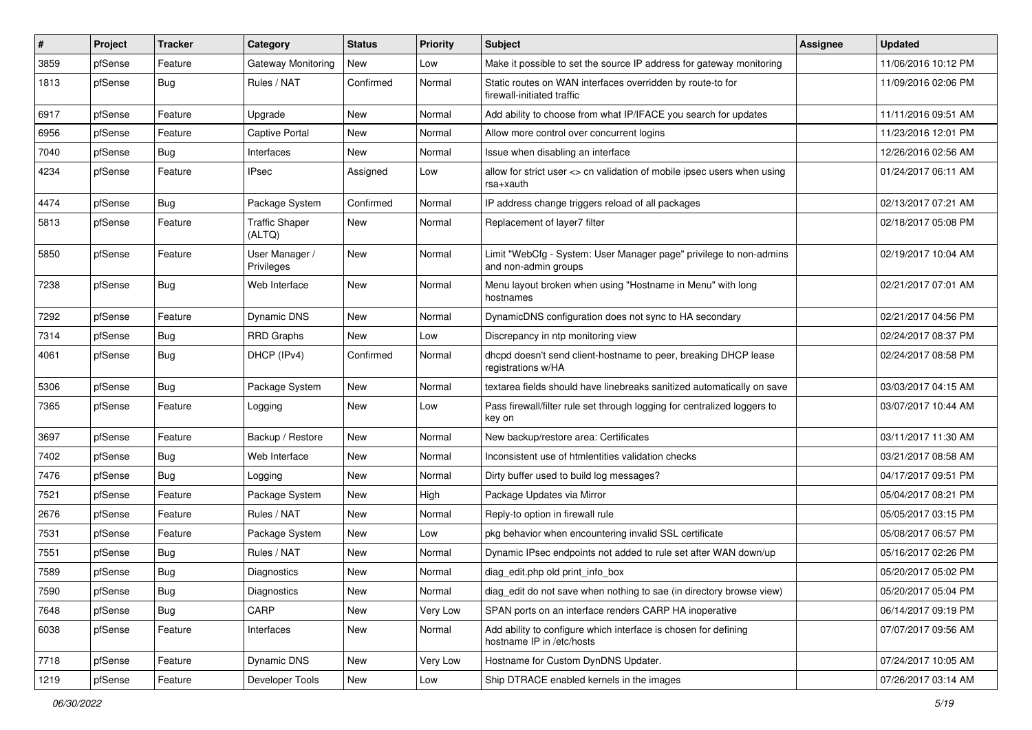| #    | Project | <b>Tracker</b> | Category                        | <b>Status</b> | <b>Priority</b> | <b>Subject</b>                                                                               | Assignee | <b>Updated</b>      |
|------|---------|----------------|---------------------------------|---------------|-----------------|----------------------------------------------------------------------------------------------|----------|---------------------|
| 3859 | pfSense | Feature        | Gateway Monitoring              | New           | Low             | Make it possible to set the source IP address for gateway monitoring                         |          | 11/06/2016 10:12 PM |
| 1813 | pfSense | <b>Bug</b>     | Rules / NAT                     | Confirmed     | Normal          | Static routes on WAN interfaces overridden by route-to for<br>firewall-initiated traffic     |          | 11/09/2016 02:06 PM |
| 6917 | pfSense | Feature        | Upgrade                         | <b>New</b>    | Normal          | Add ability to choose from what IP/IFACE you search for updates                              |          | 11/11/2016 09:51 AM |
| 6956 | pfSense | Feature        | <b>Captive Portal</b>           | New           | Normal          | Allow more control over concurrent logins                                                    |          | 11/23/2016 12:01 PM |
| 7040 | pfSense | Bug            | Interfaces                      | New           | Normal          | Issue when disabling an interface                                                            |          | 12/26/2016 02:56 AM |
| 4234 | pfSense | Feature        | <b>IPsec</b>                    | Assigned      | Low             | allow for strict user <> cn validation of mobile ipsec users when using<br>rsa+xauth         |          | 01/24/2017 06:11 AM |
| 4474 | pfSense | Bug            | Package System                  | Confirmed     | Normal          | IP address change triggers reload of all packages                                            |          | 02/13/2017 07:21 AM |
| 5813 | pfSense | Feature        | <b>Traffic Shaper</b><br>(ALTQ) | New           | Normal          | Replacement of layer7 filter                                                                 |          | 02/18/2017 05:08 PM |
| 5850 | pfSense | Feature        | User Manager /<br>Privileges    | New           | Normal          | Limit "WebCfg - System: User Manager page" privilege to non-admins<br>and non-admin groups   |          | 02/19/2017 10:04 AM |
| 7238 | pfSense | Bug            | Web Interface                   | New           | Normal          | Menu layout broken when using "Hostname in Menu" with long<br>hostnames                      |          | 02/21/2017 07:01 AM |
| 7292 | pfSense | Feature        | <b>Dynamic DNS</b>              | <b>New</b>    | Normal          | DynamicDNS configuration does not sync to HA secondary                                       |          | 02/21/2017 04:56 PM |
| 7314 | pfSense | <b>Bug</b>     | <b>RRD Graphs</b>               | New           | Low             | Discrepancy in ntp monitoring view                                                           |          | 02/24/2017 08:37 PM |
| 4061 | pfSense | <b>Bug</b>     | DHCP (IPv4)                     | Confirmed     | Normal          | dhcpd doesn't send client-hostname to peer, breaking DHCP lease<br>registrations w/HA        |          | 02/24/2017 08:58 PM |
| 5306 | pfSense | Bug            | Package System                  | New           | Normal          | textarea fields should have linebreaks sanitized automatically on save                       |          | 03/03/2017 04:15 AM |
| 7365 | pfSense | Feature        | Logging                         | New           | Low             | Pass firewall/filter rule set through logging for centralized loggers to<br>key on           |          | 03/07/2017 10:44 AM |
| 3697 | pfSense | Feature        | Backup / Restore                | <b>New</b>    | Normal          | New backup/restore area: Certificates                                                        |          | 03/11/2017 11:30 AM |
| 7402 | pfSense | Bug            | Web Interface                   | <b>New</b>    | Normal          | Inconsistent use of htmlentities validation checks                                           |          | 03/21/2017 08:58 AM |
| 7476 | pfSense | <b>Bug</b>     | Logging                         | New           | Normal          | Dirty buffer used to build log messages?                                                     |          | 04/17/2017 09:51 PM |
| 7521 | pfSense | Feature        | Package System                  | New           | High            | Package Updates via Mirror                                                                   |          | 05/04/2017 08:21 PM |
| 2676 | pfSense | Feature        | Rules / NAT                     | <b>New</b>    | Normal          | Reply-to option in firewall rule                                                             |          | 05/05/2017 03:15 PM |
| 7531 | pfSense | Feature        | Package System                  | New           | Low             | pkg behavior when encountering invalid SSL certificate                                       |          | 05/08/2017 06:57 PM |
| 7551 | pfSense | <b>Bug</b>     | Rules / NAT                     | <b>New</b>    | Normal          | Dynamic IPsec endpoints not added to rule set after WAN down/up                              |          | 05/16/2017 02:26 PM |
| 7589 | pfSense | <b>Bug</b>     | <b>Diagnostics</b>              | New           | Normal          | diag_edit.php old print_info_box                                                             |          | 05/20/2017 05:02 PM |
| 7590 | pfSense | Bug            | Diagnostics                     | New           | Normal          | diag_edit do not save when nothing to sae (in directory browse view)                         |          | 05/20/2017 05:04 PM |
| 7648 | pfSense | <b>Bug</b>     | CARP                            | New           | Very Low        | SPAN ports on an interface renders CARP HA inoperative                                       |          | 06/14/2017 09:19 PM |
| 6038 | pfSense | Feature        | Interfaces                      | New           | Normal          | Add ability to configure which interface is chosen for defining<br>hostname IP in /etc/hosts |          | 07/07/2017 09:56 AM |
| 7718 | pfSense | Feature        | Dynamic DNS                     | New           | Very Low        | Hostname for Custom DynDNS Updater.                                                          |          | 07/24/2017 10:05 AM |
| 1219 | pfSense | Feature        | Developer Tools                 | New           | Low             | Ship DTRACE enabled kernels in the images                                                    |          | 07/26/2017 03:14 AM |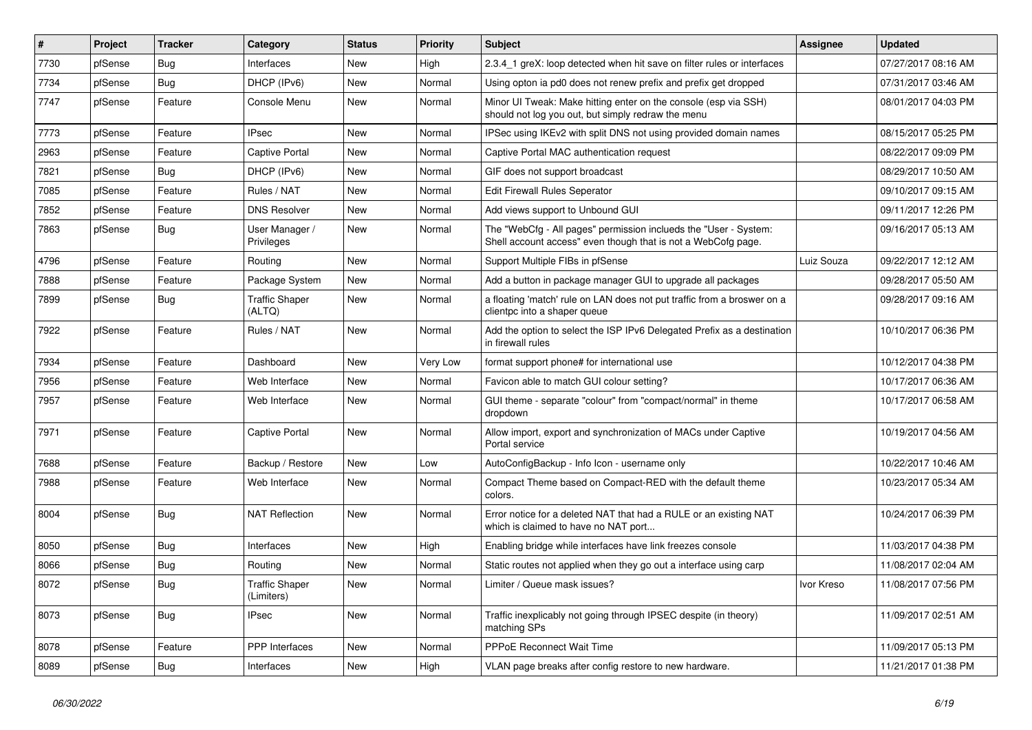| #    | Project | <b>Tracker</b> | Category                            | <b>Status</b> | <b>Priority</b> | Subject                                                                                                                           | Assignee   | <b>Updated</b>      |
|------|---------|----------------|-------------------------------------|---------------|-----------------|-----------------------------------------------------------------------------------------------------------------------------------|------------|---------------------|
| 7730 | pfSense | <b>Bug</b>     | Interfaces                          | New           | High            | 2.3.4 1 greX: loop detected when hit save on filter rules or interfaces                                                           |            | 07/27/2017 08:16 AM |
| 7734 | pfSense | Bug            | DHCP (IPv6)                         | New           | Normal          | Using opton ia pd0 does not renew prefix and prefix get dropped                                                                   |            | 07/31/2017 03:46 AM |
| 7747 | pfSense | Feature        | Console Menu                        | New           | Normal          | Minor UI Tweak: Make hitting enter on the console (esp via SSH)<br>should not log you out, but simply redraw the menu             |            | 08/01/2017 04:03 PM |
| 7773 | pfSense | Feature        | <b>IPsec</b>                        | <b>New</b>    | Normal          | IPSec using IKEv2 with split DNS not using provided domain names                                                                  |            | 08/15/2017 05:25 PM |
| 2963 | pfSense | Feature        | Captive Portal                      | New           | Normal          | Captive Portal MAC authentication request                                                                                         |            | 08/22/2017 09:09 PM |
| 7821 | pfSense | <b>Bug</b>     | DHCP (IPv6)                         | New           | Normal          | GIF does not support broadcast                                                                                                    |            | 08/29/2017 10:50 AM |
| 7085 | pfSense | Feature        | Rules / NAT                         | New           | Normal          | Edit Firewall Rules Seperator                                                                                                     |            | 09/10/2017 09:15 AM |
| 7852 | pfSense | Feature        | <b>DNS Resolver</b>                 | New           | Normal          | Add views support to Unbound GUI                                                                                                  |            | 09/11/2017 12:26 PM |
| 7863 | pfSense | <b>Bug</b>     | User Manager /<br>Privileges        | New           | Normal          | The "WebCfg - All pages" permission inclueds the "User - System:<br>Shell account access" even though that is not a WebCofg page. |            | 09/16/2017 05:13 AM |
| 4796 | pfSense | Feature        | Routing                             | New           | Normal          | Support Multiple FIBs in pfSense                                                                                                  | Luiz Souza | 09/22/2017 12:12 AM |
| 7888 | pfSense | Feature        | Package System                      | <b>New</b>    | Normal          | Add a button in package manager GUI to upgrade all packages                                                                       |            | 09/28/2017 05:50 AM |
| 7899 | pfSense | <b>Bug</b>     | Traffic Shaper<br>(ALTQ)            | New           | Normal          | a floating 'match' rule on LAN does not put traffic from a broswer on a<br>clientpc into a shaper queue                           |            | 09/28/2017 09:16 AM |
| 7922 | pfSense | Feature        | Rules / NAT                         | <b>New</b>    | Normal          | Add the option to select the ISP IPv6 Delegated Prefix as a destination<br>in firewall rules                                      |            | 10/10/2017 06:36 PM |
| 7934 | pfSense | Feature        | Dashboard                           | <b>New</b>    | Very Low        | format support phone# for international use                                                                                       |            | 10/12/2017 04:38 PM |
| 7956 | pfSense | Feature        | Web Interface                       | New           | Normal          | Favicon able to match GUI colour setting?                                                                                         |            | 10/17/2017 06:36 AM |
| 7957 | pfSense | Feature        | Web Interface                       | New           | Normal          | GUI theme - separate "colour" from "compact/normal" in theme<br>dropdown                                                          |            | 10/17/2017 06:58 AM |
| 7971 | pfSense | Feature        | <b>Captive Portal</b>               | New           | Normal          | Allow import, export and synchronization of MACs under Captive<br>Portal service                                                  |            | 10/19/2017 04:56 AM |
| 7688 | pfSense | Feature        | Backup / Restore                    | <b>New</b>    | Low             | AutoConfigBackup - Info Icon - username only                                                                                      |            | 10/22/2017 10:46 AM |
| 7988 | pfSense | Feature        | Web Interface                       | New           | Normal          | Compact Theme based on Compact-RED with the default theme<br>colors.                                                              |            | 10/23/2017 05:34 AM |
| 8004 | pfSense | <b>Bug</b>     | <b>NAT Reflection</b>               | New           | Normal          | Error notice for a deleted NAT that had a RULE or an existing NAT<br>which is claimed to have no NAT port                         |            | 10/24/2017 06:39 PM |
| 8050 | pfSense | <b>Bug</b>     | Interfaces                          | <b>New</b>    | High            | Enabling bridge while interfaces have link freezes console                                                                        |            | 11/03/2017 04:38 PM |
| 8066 | pfSense | <b>Bug</b>     | Routing                             | New           | Normal          | Static routes not applied when they go out a interface using carp                                                                 |            | 11/08/2017 02:04 AM |
| 8072 | pfSense | <b>Bug</b>     | <b>Traffic Shaper</b><br>(Limiters) | New           | Normal          | Limiter / Queue mask issues?                                                                                                      | Ivor Kreso | 11/08/2017 07:56 PM |
| 8073 | pfSense | <b>Bug</b>     | <b>IPsec</b>                        | New           | Normal          | Traffic inexplicably not going through IPSEC despite (in theory)<br>matching SPs                                                  |            | 11/09/2017 02:51 AM |
| 8078 | pfSense | Feature        | PPP Interfaces                      | New           | Normal          | PPPoE Reconnect Wait Time                                                                                                         |            | 11/09/2017 05:13 PM |
| 8089 | pfSense | <b>Bug</b>     | Interfaces                          | New           | High            | VLAN page breaks after config restore to new hardware.                                                                            |            | 11/21/2017 01:38 PM |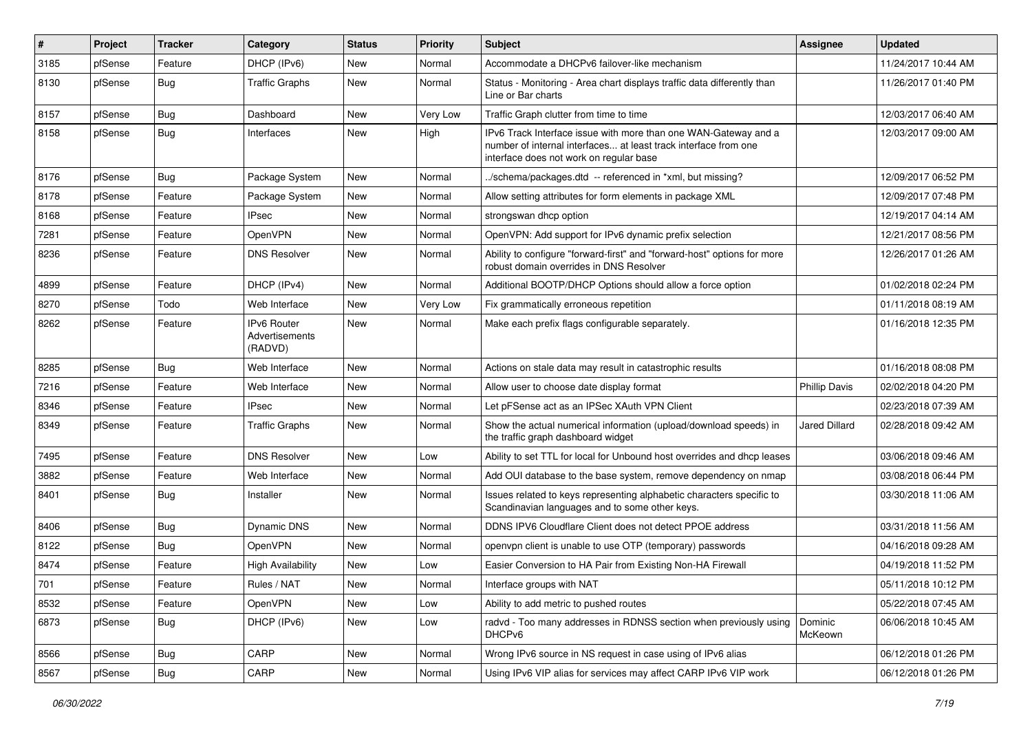| #    | Project | <b>Tracker</b> | Category                                        | <b>Status</b> | <b>Priority</b> | <b>Subject</b>                                                                                                                                                                | Assignee             | <b>Updated</b>      |
|------|---------|----------------|-------------------------------------------------|---------------|-----------------|-------------------------------------------------------------------------------------------------------------------------------------------------------------------------------|----------------------|---------------------|
| 3185 | pfSense | Feature        | DHCP (IPv6)                                     | New           | Normal          | Accommodate a DHCPv6 failover-like mechanism                                                                                                                                  |                      | 11/24/2017 10:44 AM |
| 8130 | pfSense | <b>Bug</b>     | <b>Traffic Graphs</b>                           | New           | Normal          | Status - Monitoring - Area chart displays traffic data differently than<br>Line or Bar charts                                                                                 |                      | 11/26/2017 01:40 PM |
| 8157 | pfSense | Bug            | Dashboard                                       | New           | Very Low        | Traffic Graph clutter from time to time                                                                                                                                       |                      | 12/03/2017 06:40 AM |
| 8158 | pfSense | Bug            | Interfaces                                      | New           | High            | IPv6 Track Interface issue with more than one WAN-Gateway and a<br>number of internal interfaces at least track interface from one<br>interface does not work on regular base |                      | 12/03/2017 09:00 AM |
| 8176 | pfSense | Bug            | Package System                                  | New           | Normal          | ./schema/packages.dtd -- referenced in *xml, but missing?                                                                                                                     |                      | 12/09/2017 06:52 PM |
| 8178 | pfSense | Feature        | Package System                                  | New           | Normal          | Allow setting attributes for form elements in package XML                                                                                                                     |                      | 12/09/2017 07:48 PM |
| 8168 | pfSense | Feature        | <b>IPsec</b>                                    | New           | Normal          | strongswan dhcp option                                                                                                                                                        |                      | 12/19/2017 04:14 AM |
| 7281 | pfSense | Feature        | OpenVPN                                         | New           | Normal          | OpenVPN: Add support for IPv6 dynamic prefix selection                                                                                                                        |                      | 12/21/2017 08:56 PM |
| 8236 | pfSense | Feature        | <b>DNS Resolver</b>                             | New           | Normal          | Ability to configure "forward-first" and "forward-host" options for more<br>robust domain overrides in DNS Resolver                                                           |                      | 12/26/2017 01:26 AM |
| 4899 | pfSense | Feature        | DHCP (IPv4)                                     | New           | Normal          | Additional BOOTP/DHCP Options should allow a force option                                                                                                                     |                      | 01/02/2018 02:24 PM |
| 8270 | pfSense | Todo           | Web Interface                                   | New           | Very Low        | Fix grammatically erroneous repetition                                                                                                                                        |                      | 01/11/2018 08:19 AM |
| 8262 | pfSense | Feature        | <b>IPv6 Router</b><br>Advertisements<br>(RADVD) | New           | Normal          | Make each prefix flags configurable separately.                                                                                                                               |                      | 01/16/2018 12:35 PM |
| 8285 | pfSense | Bug            | Web Interface                                   | New           | Normal          | Actions on stale data may result in catastrophic results                                                                                                                      |                      | 01/16/2018 08:08 PM |
| 7216 | pfSense | Feature        | Web Interface                                   | New           | Normal          | Allow user to choose date display format                                                                                                                                      | <b>Phillip Davis</b> | 02/02/2018 04:20 PM |
| 8346 | pfSense | Feature        | <b>IPsec</b>                                    | New           | Normal          | Let pFSense act as an IPSec XAuth VPN Client                                                                                                                                  |                      | 02/23/2018 07:39 AM |
| 8349 | pfSense | Feature        | <b>Traffic Graphs</b>                           | New           | Normal          | Show the actual numerical information (upload/download speeds) in<br>the traffic graph dashboard widget                                                                       | Jared Dillard        | 02/28/2018 09:42 AM |
| 7495 | pfSense | Feature        | <b>DNS Resolver</b>                             | New           | Low             | Ability to set TTL for local for Unbound host overrides and dhcp leases                                                                                                       |                      | 03/06/2018 09:46 AM |
| 3882 | pfSense | Feature        | Web Interface                                   | New           | Normal          | Add OUI database to the base system, remove dependency on nmap                                                                                                                |                      | 03/08/2018 06:44 PM |
| 8401 | pfSense | <b>Bug</b>     | Installer                                       | New           | Normal          | Issues related to keys representing alphabetic characters specific to<br>Scandinavian languages and to some other keys.                                                       |                      | 03/30/2018 11:06 AM |
| 8406 | pfSense | Bug            | Dynamic DNS                                     | New           | Normal          | DDNS IPV6 Cloudflare Client does not detect PPOE address                                                                                                                      |                      | 03/31/2018 11:56 AM |
| 8122 | pfSense | <b>Bug</b>     | OpenVPN                                         | New           | Normal          | openvpn client is unable to use OTP (temporary) passwords                                                                                                                     |                      | 04/16/2018 09:28 AM |
| 8474 | pfSense | Feature        | <b>High Availability</b>                        | New           | Low             | Easier Conversion to HA Pair from Existing Non-HA Firewall                                                                                                                    |                      | 04/19/2018 11:52 PM |
| 701  | pfSense | Feature        | Rules / NAT                                     | New           | Normal          | Interface groups with NAT                                                                                                                                                     |                      | 05/11/2018 10:12 PM |
| 8532 | pfSense | Feature        | OpenVPN                                         | New           | Low             | Ability to add metric to pushed routes                                                                                                                                        |                      | 05/22/2018 07:45 AM |
| 6873 | pfSense | <b>Bug</b>     | DHCP (IPv6)                                     | New           | Low             | radvd - Too many addresses in RDNSS section when previously using<br>DHCP <sub>v6</sub>                                                                                       | Dominic<br>McKeown   | 06/06/2018 10:45 AM |
| 8566 | pfSense | Bug            | CARP                                            | New           | Normal          | Wrong IPv6 source in NS request in case using of IPv6 alias                                                                                                                   |                      | 06/12/2018 01:26 PM |
| 8567 | pfSense | Bug            | CARP                                            | New           | Normal          | Using IPv6 VIP alias for services may affect CARP IPv6 VIP work                                                                                                               |                      | 06/12/2018 01:26 PM |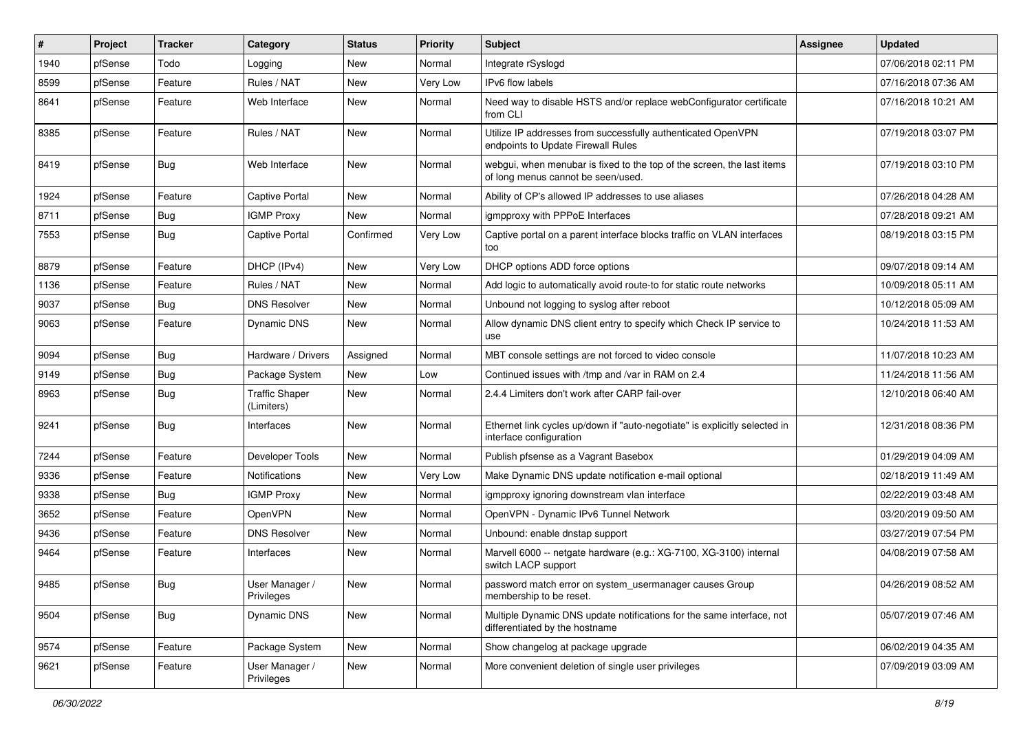| #    | Project | <b>Tracker</b> | Category                            | <b>Status</b> | <b>Priority</b> | <b>Subject</b>                                                                                               | Assignee | <b>Updated</b>      |
|------|---------|----------------|-------------------------------------|---------------|-----------------|--------------------------------------------------------------------------------------------------------------|----------|---------------------|
| 1940 | pfSense | Todo           | Logging                             | New           | Normal          | Integrate rSyslogd                                                                                           |          | 07/06/2018 02:11 PM |
| 8599 | pfSense | Feature        | Rules / NAT                         | New           | Very Low        | IPv6 flow labels                                                                                             |          | 07/16/2018 07:36 AM |
| 8641 | pfSense | Feature        | Web Interface                       | <b>New</b>    | Normal          | Need way to disable HSTS and/or replace webConfigurator certificate<br>from CLI                              |          | 07/16/2018 10:21 AM |
| 8385 | pfSense | Feature        | Rules / NAT                         | New           | Normal          | Utilize IP addresses from successfully authenticated OpenVPN<br>endpoints to Update Firewall Rules           |          | 07/19/2018 03:07 PM |
| 8419 | pfSense | <b>Bug</b>     | Web Interface                       | New           | Normal          | webgui, when menubar is fixed to the top of the screen, the last items<br>of long menus cannot be seen/used. |          | 07/19/2018 03:10 PM |
| 1924 | pfSense | Feature        | <b>Captive Portal</b>               | New           | Normal          | Ability of CP's allowed IP addresses to use aliases                                                          |          | 07/26/2018 04:28 AM |
| 8711 | pfSense | Bug            | <b>IGMP Proxy</b>                   | <b>New</b>    | Normal          | igmpproxy with PPPoE Interfaces                                                                              |          | 07/28/2018 09:21 AM |
| 7553 | pfSense | <b>Bug</b>     | Captive Portal                      | Confirmed     | Very Low        | Captive portal on a parent interface blocks traffic on VLAN interfaces<br>too                                |          | 08/19/2018 03:15 PM |
| 8879 | pfSense | Feature        | DHCP (IPv4)                         | New           | Very Low        | DHCP options ADD force options                                                                               |          | 09/07/2018 09:14 AM |
| 1136 | pfSense | Feature        | Rules / NAT                         | New           | Normal          | Add logic to automatically avoid route-to for static route networks                                          |          | 10/09/2018 05:11 AM |
| 9037 | pfSense | Bug            | <b>DNS Resolver</b>                 | New           | Normal          | Unbound not logging to syslog after reboot                                                                   |          | 10/12/2018 05:09 AM |
| 9063 | pfSense | Feature        | Dynamic DNS                         | New           | Normal          | Allow dynamic DNS client entry to specify which Check IP service to<br>use                                   |          | 10/24/2018 11:53 AM |
| 9094 | pfSense | Bug            | Hardware / Drivers                  | Assigned      | Normal          | MBT console settings are not forced to video console                                                         |          | 11/07/2018 10:23 AM |
| 9149 | pfSense | Bug            | Package System                      | New           | Low             | Continued issues with /tmp and /var in RAM on 2.4                                                            |          | 11/24/2018 11:56 AM |
| 8963 | pfSense | Bug            | <b>Traffic Shaper</b><br>(Limiters) | New           | Normal          | 2.4.4 Limiters don't work after CARP fail-over                                                               |          | 12/10/2018 06:40 AM |
| 9241 | pfSense | Bug            | Interfaces                          | New           | Normal          | Ethernet link cycles up/down if "auto-negotiate" is explicitly selected in<br>interface configuration        |          | 12/31/2018 08:36 PM |
| 7244 | pfSense | Feature        | Developer Tools                     | New           | Normal          | Publish pfsense as a Vagrant Basebox                                                                         |          | 01/29/2019 04:09 AM |
| 9336 | pfSense | Feature        | Notifications                       | New           | Very Low        | Make Dynamic DNS update notification e-mail optional                                                         |          | 02/18/2019 11:49 AM |
| 9338 | pfSense | Bug            | <b>IGMP Proxy</b>                   | <b>New</b>    | Normal          | igmpproxy ignoring downstream vlan interface                                                                 |          | 02/22/2019 03:48 AM |
| 3652 | pfSense | Feature        | OpenVPN                             | New           | Normal          | OpenVPN - Dynamic IPv6 Tunnel Network                                                                        |          | 03/20/2019 09:50 AM |
| 9436 | pfSense | Feature        | <b>DNS Resolver</b>                 | New           | Normal          | Unbound: enable dnstap support                                                                               |          | 03/27/2019 07:54 PM |
| 9464 | pfSense | Feature        | Interfaces                          | <b>New</b>    | Normal          | Marvell 6000 -- netgate hardware (e.g.: XG-7100, XG-3100) internal<br>switch LACP support                    |          | 04/08/2019 07:58 AM |
| 9485 | pfSense | Bug            | User Manager /<br>Privileges        | New           | Normal          | password match error on system_usermanager causes Group<br>membership to be reset.                           |          | 04/26/2019 08:52 AM |
| 9504 | pfSense | Bug            | Dynamic DNS                         | New           | Normal          | Multiple Dynamic DNS update notifications for the same interface, not<br>differentiated by the hostname      |          | 05/07/2019 07:46 AM |
| 9574 | pfSense | Feature        | Package System                      | New           | Normal          | Show changelog at package upgrade                                                                            |          | 06/02/2019 04:35 AM |
| 9621 | pfSense | Feature        | User Manager /<br>Privileges        | New           | Normal          | More convenient deletion of single user privileges                                                           |          | 07/09/2019 03:09 AM |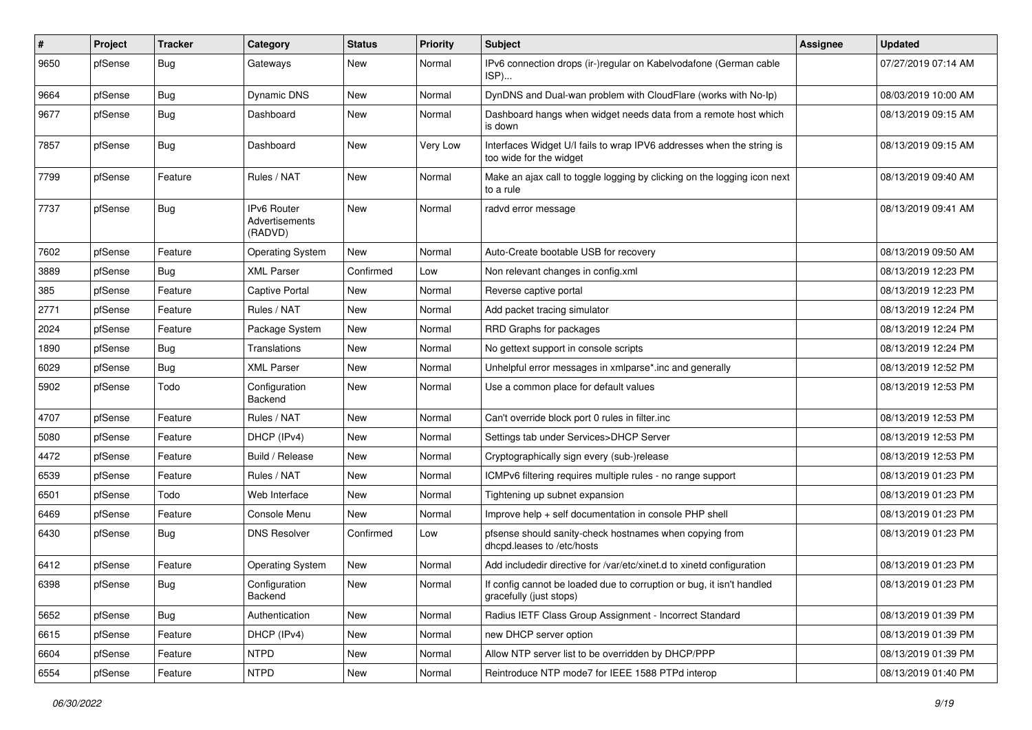| #    | Project | <b>Tracker</b> | Category                                 | <b>Status</b> | <b>Priority</b> | Subject                                                                                          | Assignee | <b>Updated</b>      |
|------|---------|----------------|------------------------------------------|---------------|-----------------|--------------------------------------------------------------------------------------------------|----------|---------------------|
| 9650 | pfSense | Bug            | Gateways                                 | New           | Normal          | IPv6 connection drops (ir-)regular on Kabelvodafone (German cable<br>ISP)                        |          | 07/27/2019 07:14 AM |
| 9664 | pfSense | Bug            | Dynamic DNS                              | New           | Normal          | DynDNS and Dual-wan problem with CloudFlare (works with No-Ip)                                   |          | 08/03/2019 10:00 AM |
| 9677 | pfSense | <b>Bug</b>     | Dashboard                                | New           | Normal          | Dashboard hangs when widget needs data from a remote host which<br>is down                       |          | 08/13/2019 09:15 AM |
| 7857 | pfSense | Bug            | Dashboard                                | <b>New</b>    | Very Low        | Interfaces Widget U/I fails to wrap IPV6 addresses when the string is<br>too wide for the widget |          | 08/13/2019 09:15 AM |
| 7799 | pfSense | Feature        | Rules / NAT                              | New           | Normal          | Make an ajax call to toggle logging by clicking on the logging icon next<br>to a rule            |          | 08/13/2019 09:40 AM |
| 7737 | pfSense | Bug            | IPv6 Router<br>Advertisements<br>(RADVD) | New           | Normal          | radvd error message                                                                              |          | 08/13/2019 09:41 AM |
| 7602 | pfSense | Feature        | <b>Operating System</b>                  | New           | Normal          | Auto-Create bootable USB for recovery                                                            |          | 08/13/2019 09:50 AM |
| 3889 | pfSense | Bug            | <b>XML Parser</b>                        | Confirmed     | Low             | Non relevant changes in config.xml                                                               |          | 08/13/2019 12:23 PM |
| 385  | pfSense | Feature        | <b>Captive Portal</b>                    | <b>New</b>    | Normal          | Reverse captive portal                                                                           |          | 08/13/2019 12:23 PM |
| 2771 | pfSense | Feature        | Rules / NAT                              | New           | Normal          | Add packet tracing simulator                                                                     |          | 08/13/2019 12:24 PM |
| 2024 | pfSense | Feature        | Package System                           | New           | Normal          | RRD Graphs for packages                                                                          |          | 08/13/2019 12:24 PM |
| 1890 | pfSense | <b>Bug</b>     | Translations                             | New           | Normal          | No gettext support in console scripts                                                            |          | 08/13/2019 12:24 PM |
| 6029 | pfSense | Bug            | <b>XML Parser</b>                        | <b>New</b>    | Normal          | Unhelpful error messages in xmlparse*.inc and generally                                          |          | 08/13/2019 12:52 PM |
| 5902 | pfSense | Todo           | Configuration<br>Backend                 | New           | Normal          | Use a common place for default values                                                            |          | 08/13/2019 12:53 PM |
| 4707 | pfSense | Feature        | Rules / NAT                              | New           | Normal          | Can't override block port 0 rules in filter.inc                                                  |          | 08/13/2019 12:53 PM |
| 5080 | pfSense | Feature        | DHCP (IPv4)                              | <b>New</b>    | Normal          | Settings tab under Services>DHCP Server                                                          |          | 08/13/2019 12:53 PM |
| 4472 | pfSense | Feature        | Build / Release                          | <b>New</b>    | Normal          | Cryptographically sign every (sub-)release                                                       |          | 08/13/2019 12:53 PM |
| 6539 | pfSense | Feature        | Rules / NAT                              | New           | Normal          | ICMPv6 filtering requires multiple rules - no range support                                      |          | 08/13/2019 01:23 PM |
| 6501 | pfSense | Todo           | Web Interface                            | New           | Normal          | Tightening up subnet expansion                                                                   |          | 08/13/2019 01:23 PM |
| 6469 | pfSense | Feature        | Console Menu                             | New           | Normal          | Improve help + self documentation in console PHP shell                                           |          | 08/13/2019 01:23 PM |
| 6430 | pfSense | Bug            | <b>DNS Resolver</b>                      | Confirmed     | Low             | pfsense should sanity-check hostnames when copying from<br>dhcpd.leases to /etc/hosts            |          | 08/13/2019 01:23 PM |
| 6412 | pfSense | Feature        | <b>Operating System</b>                  | New           | Normal          | Add includedir directive for /var/etc/xinet.d to xinetd configuration                            |          | 08/13/2019 01:23 PM |
| 6398 | pfSense | <b>Bug</b>     | Configuration<br>Backend                 | New           | Normal          | If config cannot be loaded due to corruption or bug, it isn't handled<br>gracefully (just stops) |          | 08/13/2019 01:23 PM |
| 5652 | pfSense | Bug            | Authentication                           | New           | Normal          | Radius IETF Class Group Assignment - Incorrect Standard                                          |          | 08/13/2019 01:39 PM |
| 6615 | pfSense | Feature        | DHCP (IPv4)                              | New           | Normal          | new DHCP server option                                                                           |          | 08/13/2019 01:39 PM |
| 6604 | pfSense | Feature        | <b>NTPD</b>                              | New           | Normal          | Allow NTP server list to be overridden by DHCP/PPP                                               |          | 08/13/2019 01:39 PM |
| 6554 | pfSense | Feature        | <b>NTPD</b>                              | New           | Normal          | Reintroduce NTP mode7 for IEEE 1588 PTPd interop                                                 |          | 08/13/2019 01:40 PM |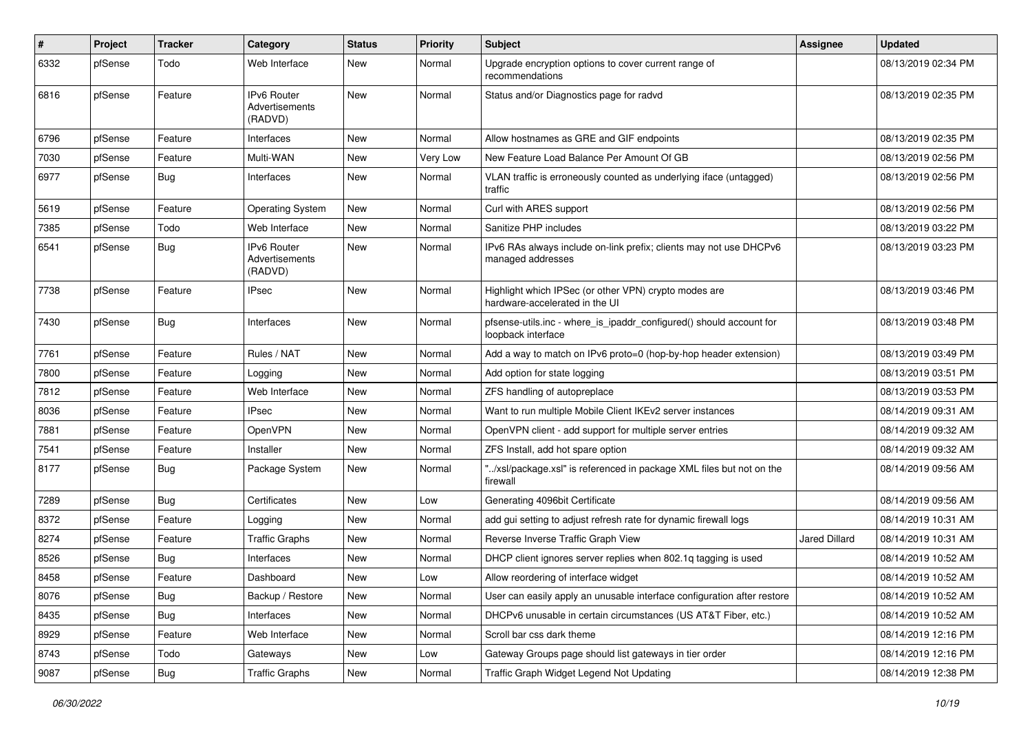| $\#$ | Project | <b>Tracker</b> | Category                                        | <b>Status</b> | <b>Priority</b> | Subject                                                                                   | <b>Assignee</b>      | <b>Updated</b>      |
|------|---------|----------------|-------------------------------------------------|---------------|-----------------|-------------------------------------------------------------------------------------------|----------------------|---------------------|
| 6332 | pfSense | Todo           | Web Interface                                   | New           | Normal          | Upgrade encryption options to cover current range of<br>recommendations                   |                      | 08/13/2019 02:34 PM |
| 6816 | pfSense | Feature        | <b>IPv6 Router</b><br>Advertisements<br>(RADVD) | <b>New</b>    | Normal          | Status and/or Diagnostics page for radvd                                                  |                      | 08/13/2019 02:35 PM |
| 6796 | pfSense | Feature        | Interfaces                                      | New           | Normal          | Allow hostnames as GRE and GIF endpoints                                                  |                      | 08/13/2019 02:35 PM |
| 7030 | pfSense | Feature        | Multi-WAN                                       | New           | Very Low        | New Feature Load Balance Per Amount Of GB                                                 |                      | 08/13/2019 02:56 PM |
| 6977 | pfSense | Bug            | Interfaces                                      | New           | Normal          | VLAN traffic is erroneously counted as underlying iface (untagged)<br>traffic             |                      | 08/13/2019 02:56 PM |
| 5619 | pfSense | Feature        | <b>Operating System</b>                         | <b>New</b>    | Normal          | Curl with ARES support                                                                    |                      | 08/13/2019 02:56 PM |
| 7385 | pfSense | Todo           | Web Interface                                   | <b>New</b>    | Normal          | Sanitize PHP includes                                                                     |                      | 08/13/2019 03:22 PM |
| 6541 | pfSense | Bug            | IPv6 Router<br>Advertisements<br>(RADVD)        | <b>New</b>    | Normal          | IPv6 RAs always include on-link prefix; clients may not use DHCPv6<br>managed addresses   |                      | 08/13/2019 03:23 PM |
| 7738 | pfSense | Feature        | <b>IPsec</b>                                    | <b>New</b>    | Normal          | Highlight which IPSec (or other VPN) crypto modes are<br>hardware-accelerated in the UI   |                      | 08/13/2019 03:46 PM |
| 7430 | pfSense | Bug            | Interfaces                                      | <b>New</b>    | Normal          | pfsense-utils.inc - where_is_ipaddr_configured() should account for<br>loopback interface |                      | 08/13/2019 03:48 PM |
| 7761 | pfSense | Feature        | Rules / NAT                                     | <b>New</b>    | Normal          | Add a way to match on IPv6 proto=0 (hop-by-hop header extension)                          |                      | 08/13/2019 03:49 PM |
| 7800 | pfSense | Feature        | Logging                                         | New           | Normal          | Add option for state logging                                                              |                      | 08/13/2019 03:51 PM |
| 7812 | pfSense | Feature        | Web Interface                                   | <b>New</b>    | Normal          | ZFS handling of autopreplace                                                              |                      | 08/13/2019 03:53 PM |
| 8036 | pfSense | Feature        | <b>IPsec</b>                                    | New           | Normal          | Want to run multiple Mobile Client IKEv2 server instances                                 |                      | 08/14/2019 09:31 AM |
| 7881 | pfSense | Feature        | OpenVPN                                         | New           | Normal          | OpenVPN client - add support for multiple server entries                                  |                      | 08/14/2019 09:32 AM |
| 7541 | pfSense | Feature        | Installer                                       | <b>New</b>    | Normal          | ZFS Install, add hot spare option                                                         |                      | 08/14/2019 09:32 AM |
| 8177 | pfSense | Bug            | Package System                                  | New           | Normal          | "/xsl/package.xsl" is referenced in package XML files but not on the<br>firewall          |                      | 08/14/2019 09:56 AM |
| 7289 | pfSense | Bug            | Certificates                                    | <b>New</b>    | Low             | Generating 4096bit Certificate                                                            |                      | 08/14/2019 09:56 AM |
| 8372 | pfSense | Feature        | Logging                                         | <b>New</b>    | Normal          | add gui setting to adjust refresh rate for dynamic firewall logs                          |                      | 08/14/2019 10:31 AM |
| 8274 | pfSense | Feature        | <b>Traffic Graphs</b>                           | <b>New</b>    | Normal          | Reverse Inverse Traffic Graph View                                                        | <b>Jared Dillard</b> | 08/14/2019 10:31 AM |
| 8526 | pfSense | Bug            | Interfaces                                      | New           | Normal          | DHCP client ignores server replies when 802.1g tagging is used                            |                      | 08/14/2019 10:52 AM |
| 8458 | pfSense | Feature        | Dashboard                                       | New           | Low             | Allow reordering of interface widget                                                      |                      | 08/14/2019 10:52 AM |
| 8076 | pfSense | Bug            | Backup / Restore                                | New           | Normal          | User can easily apply an unusable interface configuration after restore                   |                      | 08/14/2019 10:52 AM |
| 8435 | pfSense | Bug            | Interfaces                                      | New           | Normal          | DHCPv6 unusable in certain circumstances (US AT&T Fiber, etc.)                            |                      | 08/14/2019 10:52 AM |
| 8929 | pfSense | Feature        | Web Interface                                   | New           | Normal          | Scroll bar css dark theme                                                                 |                      | 08/14/2019 12:16 PM |
| 8743 | pfSense | Todo           | Gateways                                        | New           | Low             | Gateway Groups page should list gateways in tier order                                    |                      | 08/14/2019 12:16 PM |
| 9087 | pfSense | Bug            | <b>Traffic Graphs</b>                           | New           | Normal          | Traffic Graph Widget Legend Not Updating                                                  |                      | 08/14/2019 12:38 PM |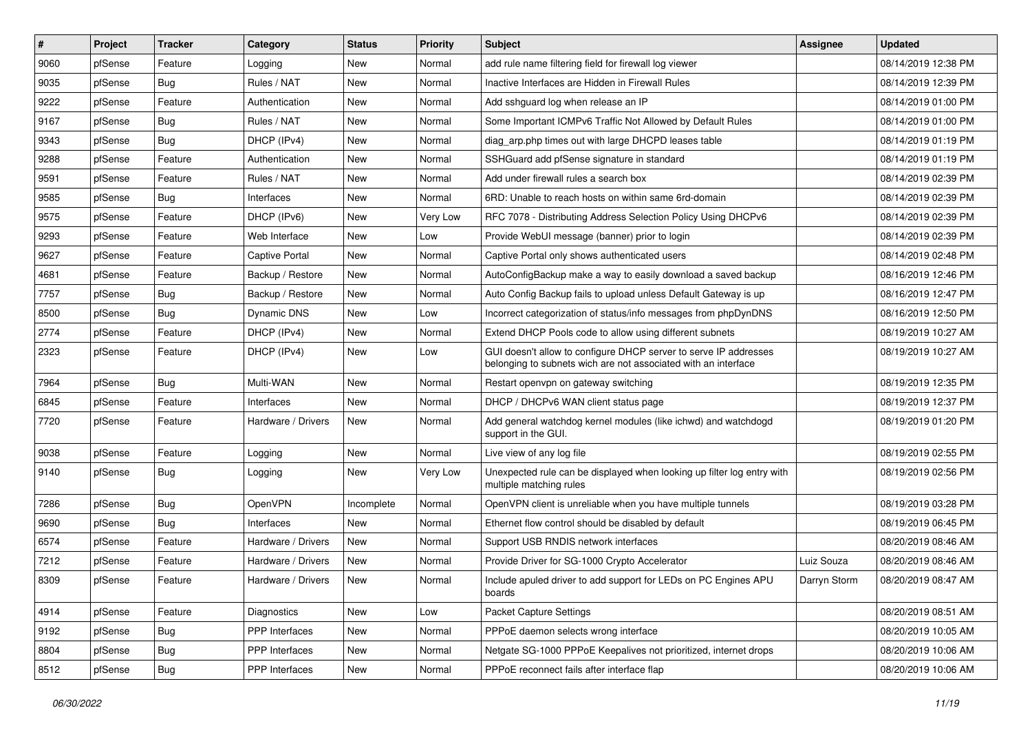| #    | Project | <b>Tracker</b> | Category           | <b>Status</b> | <b>Priority</b> | <b>Subject</b>                                                                                                                     | <b>Assignee</b> | <b>Updated</b>      |
|------|---------|----------------|--------------------|---------------|-----------------|------------------------------------------------------------------------------------------------------------------------------------|-----------------|---------------------|
| 9060 | pfSense | Feature        | Logging            | New           | Normal          | add rule name filtering field for firewall log viewer                                                                              |                 | 08/14/2019 12:38 PM |
| 9035 | pfSense | Bug            | Rules / NAT        | New           | Normal          | Inactive Interfaces are Hidden in Firewall Rules                                                                                   |                 | 08/14/2019 12:39 PM |
| 9222 | pfSense | Feature        | Authentication     | New           | Normal          | Add sshguard log when release an IP                                                                                                |                 | 08/14/2019 01:00 PM |
| 9167 | pfSense | Bug            | Rules / NAT        | New           | Normal          | Some Important ICMPv6 Traffic Not Allowed by Default Rules                                                                         |                 | 08/14/2019 01:00 PM |
| 9343 | pfSense | Bug            | DHCP (IPv4)        | <b>New</b>    | Normal          | diag_arp.php times out with large DHCPD leases table                                                                               |                 | 08/14/2019 01:19 PM |
| 9288 | pfSense | Feature        | Authentication     | New           | Normal          | SSHGuard add pfSense signature in standard                                                                                         |                 | 08/14/2019 01:19 PM |
| 9591 | pfSense | Feature        | Rules / NAT        | New           | Normal          | Add under firewall rules a search box                                                                                              |                 | 08/14/2019 02:39 PM |
| 9585 | pfSense | Bug            | Interfaces         | New           | Normal          | 6RD: Unable to reach hosts on within same 6rd-domain                                                                               |                 | 08/14/2019 02:39 PM |
| 9575 | pfSense | Feature        | DHCP (IPv6)        | <b>New</b>    | Very Low        | RFC 7078 - Distributing Address Selection Policy Using DHCPv6                                                                      |                 | 08/14/2019 02:39 PM |
| 9293 | pfSense | Feature        | Web Interface      | New           | Low             | Provide WebUI message (banner) prior to login                                                                                      |                 | 08/14/2019 02:39 PM |
| 9627 | pfSense | Feature        | Captive Portal     | New           | Normal          | Captive Portal only shows authenticated users                                                                                      |                 | 08/14/2019 02:48 PM |
| 4681 | pfSense | Feature        | Backup / Restore   | New           | Normal          | AutoConfigBackup make a way to easily download a saved backup                                                                      |                 | 08/16/2019 12:46 PM |
| 7757 | pfSense | <b>Bug</b>     | Backup / Restore   | <b>New</b>    | Normal          | Auto Config Backup fails to upload unless Default Gateway is up                                                                    |                 | 08/16/2019 12:47 PM |
| 8500 | pfSense | Bug            | Dynamic DNS        | New           | Low             | Incorrect categorization of status/info messages from phpDynDNS                                                                    |                 | 08/16/2019 12:50 PM |
| 2774 | pfSense | Feature        | DHCP (IPv4)        | <b>New</b>    | Normal          | Extend DHCP Pools code to allow using different subnets                                                                            |                 | 08/19/2019 10:27 AM |
| 2323 | pfSense | Feature        | DHCP (IPv4)        | New           | Low             | GUI doesn't allow to configure DHCP server to serve IP addresses<br>belonging to subnets wich are not associated with an interface |                 | 08/19/2019 10:27 AM |
| 7964 | pfSense | Bug            | Multi-WAN          | New           | Normal          | Restart openvpn on gateway switching                                                                                               |                 | 08/19/2019 12:35 PM |
| 6845 | pfSense | Feature        | Interfaces         | New           | Normal          | DHCP / DHCPv6 WAN client status page                                                                                               |                 | 08/19/2019 12:37 PM |
| 7720 | pfSense | Feature        | Hardware / Drivers | New           | Normal          | Add general watchdog kernel modules (like ichwd) and watchdogd<br>support in the GUI.                                              |                 | 08/19/2019 01:20 PM |
| 9038 | pfSense | Feature        | Logging            | New           | Normal          | Live view of any log file                                                                                                          |                 | 08/19/2019 02:55 PM |
| 9140 | pfSense | Bug            | Logging            | New           | Very Low        | Unexpected rule can be displayed when looking up filter log entry with<br>multiple matching rules                                  |                 | 08/19/2019 02:56 PM |
| 7286 | pfSense | Bug            | OpenVPN            | Incomplete    | Normal          | OpenVPN client is unreliable when you have multiple tunnels                                                                        |                 | 08/19/2019 03:28 PM |
| 9690 | pfSense | Bug            | Interfaces         | <b>New</b>    | Normal          | Ethernet flow control should be disabled by default                                                                                |                 | 08/19/2019 06:45 PM |
| 6574 | pfSense | Feature        | Hardware / Drivers | New           | Normal          | Support USB RNDIS network interfaces                                                                                               |                 | 08/20/2019 08:46 AM |
| 7212 | pfSense | Feature        | Hardware / Drivers | New           | Normal          | Provide Driver for SG-1000 Crypto Accelerator                                                                                      | Luiz Souza      | 08/20/2019 08:46 AM |
| 8309 | pfSense | Feature        | Hardware / Drivers | New           | Normal          | Include apuled driver to add support for LEDs on PC Engines APU<br>boards                                                          | Darryn Storm    | 08/20/2019 08:47 AM |
| 4914 | pfSense | Feature        | Diagnostics        | New           | Low             | <b>Packet Capture Settings</b>                                                                                                     |                 | 08/20/2019 08:51 AM |
| 9192 | pfSense | Bug            | PPP Interfaces     | New           | Normal          | PPPoE daemon selects wrong interface                                                                                               |                 | 08/20/2019 10:05 AM |
| 8804 | pfSense | <b>Bug</b>     | PPP Interfaces     | New           | Normal          | Netgate SG-1000 PPPoE Keepalives not prioritized, internet drops                                                                   |                 | 08/20/2019 10:06 AM |
| 8512 | pfSense | <b>Bug</b>     | PPP Interfaces     | New           | Normal          | PPPoE reconnect fails after interface flap                                                                                         |                 | 08/20/2019 10:06 AM |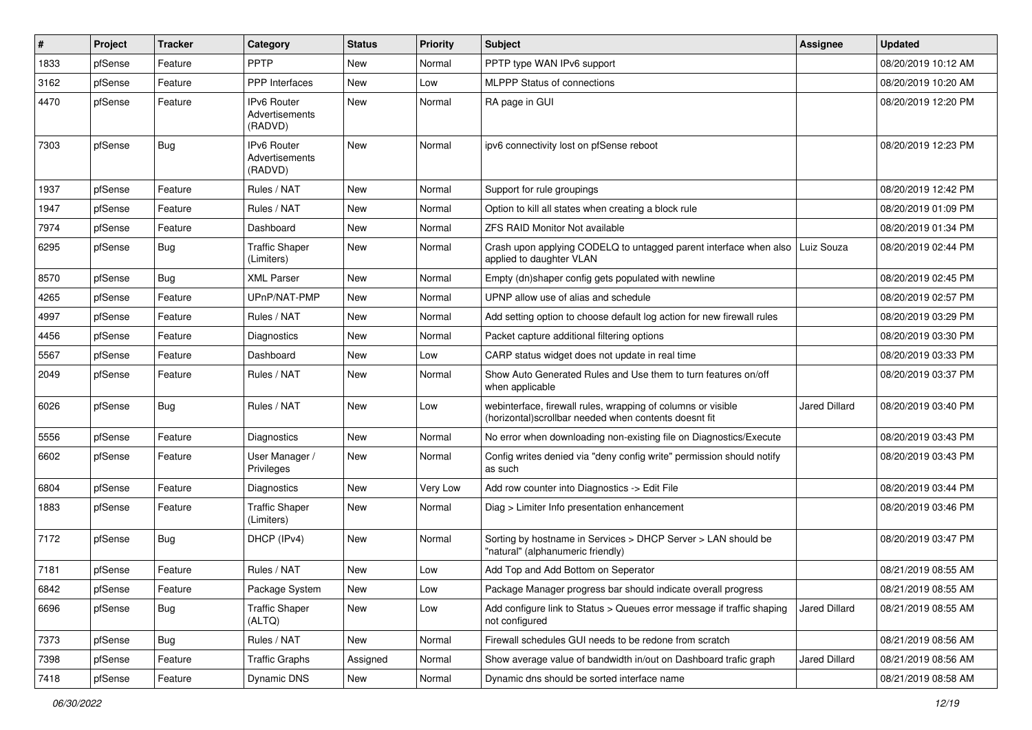| #    | Project | <b>Tracker</b> | Category                                        | <b>Status</b> | <b>Priority</b> | Subject                                                                                                                | Assignee             | <b>Updated</b>      |
|------|---------|----------------|-------------------------------------------------|---------------|-----------------|------------------------------------------------------------------------------------------------------------------------|----------------------|---------------------|
| 1833 | pfSense | Feature        | PPTP                                            | New           | Normal          | PPTP type WAN IPv6 support                                                                                             |                      | 08/20/2019 10:12 AM |
| 3162 | pfSense | Feature        | <b>PPP</b> Interfaces                           | <b>New</b>    | Low             | <b>MLPPP Status of connections</b>                                                                                     |                      | 08/20/2019 10:20 AM |
| 4470 | pfSense | Feature        | <b>IPv6 Router</b><br>Advertisements<br>(RADVD) | New           | Normal          | RA page in GUI                                                                                                         |                      | 08/20/2019 12:20 PM |
| 7303 | pfSense | <b>Bug</b>     | <b>IPv6 Router</b><br>Advertisements<br>(RADVD) | <b>New</b>    | Normal          | ipv6 connectivity lost on pfSense reboot                                                                               |                      | 08/20/2019 12:23 PM |
| 1937 | pfSense | Feature        | Rules / NAT                                     | <b>New</b>    | Normal          | Support for rule groupings                                                                                             |                      | 08/20/2019 12:42 PM |
| 1947 | pfSense | Feature        | Rules / NAT                                     | New           | Normal          | Option to kill all states when creating a block rule                                                                   |                      | 08/20/2019 01:09 PM |
| 7974 | pfSense | Feature        | Dashboard                                       | <b>New</b>    | Normal          | <b>ZFS RAID Monitor Not available</b>                                                                                  |                      | 08/20/2019 01:34 PM |
| 6295 | pfSense | <b>Bug</b>     | <b>Traffic Shaper</b><br>(Limiters)             | <b>New</b>    | Normal          | Crash upon applying CODELQ to untagged parent interface when also<br>applied to daughter VLAN                          | Luiz Souza           | 08/20/2019 02:44 PM |
| 8570 | pfSense | Bug            | <b>XML Parser</b>                               | New           | Normal          | Empty (dn)shaper config gets populated with newline                                                                    |                      | 08/20/2019 02:45 PM |
| 4265 | pfSense | Feature        | UPnP/NAT-PMP                                    | New           | Normal          | UPNP allow use of alias and schedule                                                                                   |                      | 08/20/2019 02:57 PM |
| 4997 | pfSense | Feature        | Rules / NAT                                     | <b>New</b>    | Normal          | Add setting option to choose default log action for new firewall rules                                                 |                      | 08/20/2019 03:29 PM |
| 4456 | pfSense | Feature        | Diagnostics                                     | New           | Normal          | Packet capture additional filtering options                                                                            |                      | 08/20/2019 03:30 PM |
| 5567 | pfSense | Feature        | Dashboard                                       | <b>New</b>    | Low             | CARP status widget does not update in real time                                                                        |                      | 08/20/2019 03:33 PM |
| 2049 | pfSense | Feature        | Rules / NAT                                     | New           | Normal          | Show Auto Generated Rules and Use them to turn features on/off<br>when applicable                                      |                      | 08/20/2019 03:37 PM |
| 6026 | pfSense | <b>Bug</b>     | Rules / NAT                                     | New           | Low             | webinterface, firewall rules, wrapping of columns or visible<br>(horizontal) scrollbar needed when contents doesnt fit | <b>Jared Dillard</b> | 08/20/2019 03:40 PM |
| 5556 | pfSense | Feature        | Diagnostics                                     | <b>New</b>    | Normal          | No error when downloading non-existing file on Diagnostics/Execute                                                     |                      | 08/20/2019 03:43 PM |
| 6602 | pfSense | Feature        | User Manager /<br>Privileges                    | <b>New</b>    | Normal          | Config writes denied via "deny config write" permission should notify<br>as such                                       |                      | 08/20/2019 03:43 PM |
| 6804 | pfSense | Feature        | Diagnostics                                     | <b>New</b>    | Very Low        | Add row counter into Diagnostics -> Edit File                                                                          |                      | 08/20/2019 03:44 PM |
| 1883 | pfSense | Feature        | <b>Traffic Shaper</b><br>(Limiters)             | New           | Normal          | Diag > Limiter Info presentation enhancement                                                                           |                      | 08/20/2019 03:46 PM |
| 7172 | pfSense | Bug            | DHCP (IPv4)                                     | New           | Normal          | Sorting by hostname in Services > DHCP Server > LAN should be<br>"natural" (alphanumeric friendly)                     |                      | 08/20/2019 03:47 PM |
| 7181 | pfSense | Feature        | Rules / NAT                                     | <b>New</b>    | Low             | Add Top and Add Bottom on Seperator                                                                                    |                      | 08/21/2019 08:55 AM |
| 6842 | pfSense | Feature        | Package System                                  | New           | Low             | Package Manager progress bar should indicate overall progress                                                          |                      | 08/21/2019 08:55 AM |
| 6696 | pfSense | <b>Bug</b>     | <b>Traffic Shaper</b><br>(ALTQ)                 | New           | Low             | Add configure link to Status > Queues error message if traffic shaping<br>not configured                               | Jared Dillard        | 08/21/2019 08:55 AM |
| 7373 | pfSense | <b>Bug</b>     | Rules / NAT                                     | New           | Normal          | Firewall schedules GUI needs to be redone from scratch                                                                 |                      | 08/21/2019 08:56 AM |
| 7398 | pfSense | Feature        | <b>Traffic Graphs</b>                           | Assigned      | Normal          | Show average value of bandwidth in/out on Dashboard trafic graph                                                       | <b>Jared Dillard</b> | 08/21/2019 08:56 AM |
| 7418 | pfSense | Feature        | Dynamic DNS                                     | New           | Normal          | Dynamic dns should be sorted interface name                                                                            |                      | 08/21/2019 08:58 AM |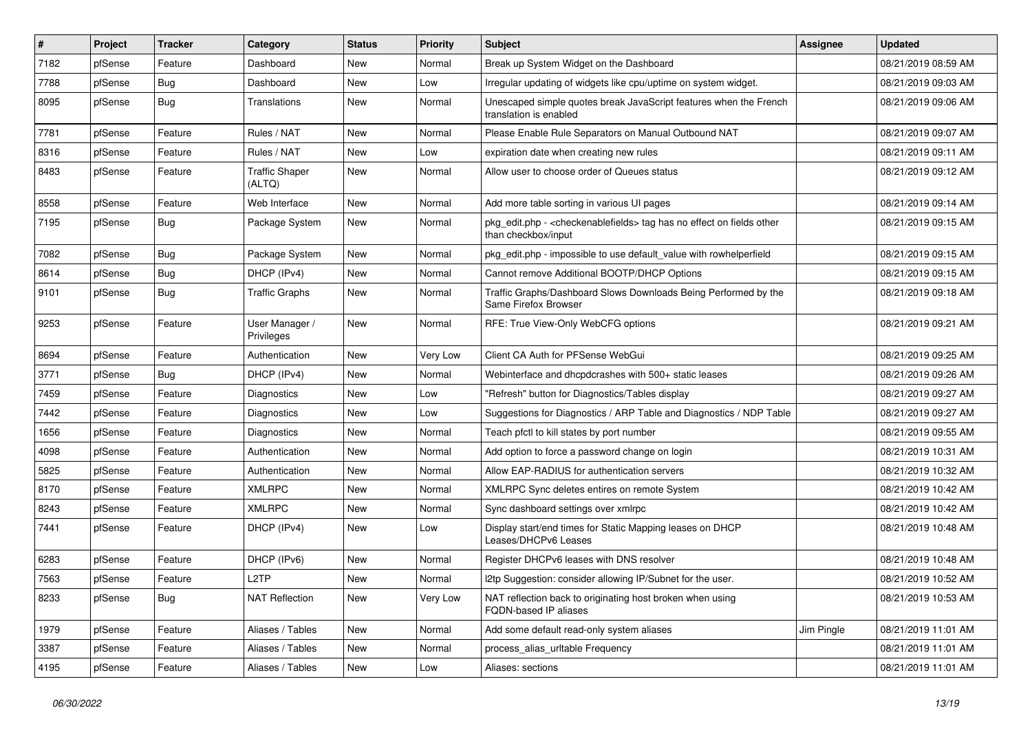| #    | Project | <b>Tracker</b> | Category                        | <b>Status</b> | <b>Priority</b> | <b>Subject</b>                                                                                 | Assignee   | <b>Updated</b>      |
|------|---------|----------------|---------------------------------|---------------|-----------------|------------------------------------------------------------------------------------------------|------------|---------------------|
| 7182 | pfSense | Feature        | Dashboard                       | New           | Normal          | Break up System Widget on the Dashboard                                                        |            | 08/21/2019 08:59 AM |
| 7788 | pfSense | <b>Bug</b>     | Dashboard                       | New           | Low             | Irregular updating of widgets like cpu/uptime on system widget.                                |            | 08/21/2019 09:03 AM |
| 8095 | pfSense | <b>Bug</b>     | Translations                    | New           | Normal          | Unescaped simple quotes break JavaScript features when the French<br>translation is enabled    |            | 08/21/2019 09:06 AM |
| 7781 | pfSense | Feature        | Rules / NAT                     | <b>New</b>    | Normal          | Please Enable Rule Separators on Manual Outbound NAT                                           |            | 08/21/2019 09:07 AM |
| 8316 | pfSense | Feature        | Rules / NAT                     | New           | Low             | expiration date when creating new rules                                                        |            | 08/21/2019 09:11 AM |
| 8483 | pfSense | Feature        | <b>Traffic Shaper</b><br>(ALTQ) | <b>New</b>    | Normal          | Allow user to choose order of Queues status                                                    |            | 08/21/2019 09:12 AM |
| 8558 | pfSense | Feature        | Web Interface                   | New           | Normal          | Add more table sorting in various UI pages                                                     |            | 08/21/2019 09:14 AM |
| 7195 | pfSense | Bug            | Package System                  | New           | Normal          | pkg edit.php - < checkenable fields > tag has no effect on fields other<br>than checkbox/input |            | 08/21/2019 09:15 AM |
| 7082 | pfSense | <b>Bug</b>     | Package System                  | New           | Normal          | pkg edit.php - impossible to use default value with rowhelperfield                             |            | 08/21/2019 09:15 AM |
| 8614 | pfSense | Bug            | DHCP (IPv4)                     | <b>New</b>    | Normal          | Cannot remove Additional BOOTP/DHCP Options                                                    |            | 08/21/2019 09:15 AM |
| 9101 | pfSense | Bug            | <b>Traffic Graphs</b>           | New           | Normal          | Traffic Graphs/Dashboard Slows Downloads Being Performed by the<br>Same Firefox Browser        |            | 08/21/2019 09:18 AM |
| 9253 | pfSense | Feature        | User Manager /<br>Privileges    | New           | Normal          | RFE: True View-Only WebCFG options                                                             |            | 08/21/2019 09:21 AM |
| 8694 | pfSense | Feature        | Authentication                  | <b>New</b>    | Very Low        | Client CA Auth for PFSense WebGui                                                              |            | 08/21/2019 09:25 AM |
| 3771 | pfSense | <b>Bug</b>     | DHCP (IPv4)                     | New           | Normal          | Webinterface and dhcpdcrashes with 500+ static leases                                          |            | 08/21/2019 09:26 AM |
| 7459 | pfSense | Feature        | <b>Diagnostics</b>              | New           | Low             | 'Refresh" button for Diagnostics/Tables display                                                |            | 08/21/2019 09:27 AM |
| 7442 | pfSense | Feature        | <b>Diagnostics</b>              | <b>New</b>    | Low             | Suggestions for Diagnostics / ARP Table and Diagnostics / NDP Table                            |            | 08/21/2019 09:27 AM |
| 1656 | pfSense | Feature        | Diagnostics                     | New           | Normal          | Teach pfctl to kill states by port number                                                      |            | 08/21/2019 09:55 AM |
| 4098 | pfSense | Feature        | Authentication                  | <b>New</b>    | Normal          | Add option to force a password change on login                                                 |            | 08/21/2019 10:31 AM |
| 5825 | pfSense | Feature        | Authentication                  | New           | Normal          | Allow EAP-RADIUS for authentication servers                                                    |            | 08/21/2019 10:32 AM |
| 8170 | pfSense | Feature        | <b>XMLRPC</b>                   | New           | Normal          | XMLRPC Sync deletes entires on remote System                                                   |            | 08/21/2019 10:42 AM |
| 8243 | pfSense | Feature        | <b>XMLRPC</b>                   | New           | Normal          | Sync dashboard settings over xmlrpc                                                            |            | 08/21/2019 10:42 AM |
| 7441 | pfSense | Feature        | DHCP (IPv4)                     | New           | Low             | Display start/end times for Static Mapping leases on DHCP<br>Leases/DHCPv6 Leases              |            | 08/21/2019 10:48 AM |
| 6283 | pfSense | Feature        | DHCP (IPv6)                     | New           | Normal          | Register DHCPv6 leases with DNS resolver                                                       |            | 08/21/2019 10:48 AM |
| 7563 | pfSense | Feature        | L <sub>2</sub> TP               | New           | Normal          | I2tp Suggestion: consider allowing IP/Subnet for the user.                                     |            | 08/21/2019 10:52 AM |
| 8233 | pfSense | Bug            | <b>NAT Reflection</b>           | New           | Very Low        | NAT reflection back to originating host broken when using<br>FQDN-based IP aliases             |            | 08/21/2019 10:53 AM |
| 1979 | pfSense | Feature        | Aliases / Tables                | New           | Normal          | Add some default read-only system aliases                                                      | Jim Pingle | 08/21/2019 11:01 AM |
| 3387 | pfSense | Feature        | Aliases / Tables                | New           | Normal          | process alias urltable Frequency                                                               |            | 08/21/2019 11:01 AM |
| 4195 | pfSense | Feature        | Aliases / Tables                | New           | Low             | Aliases: sections                                                                              |            | 08/21/2019 11:01 AM |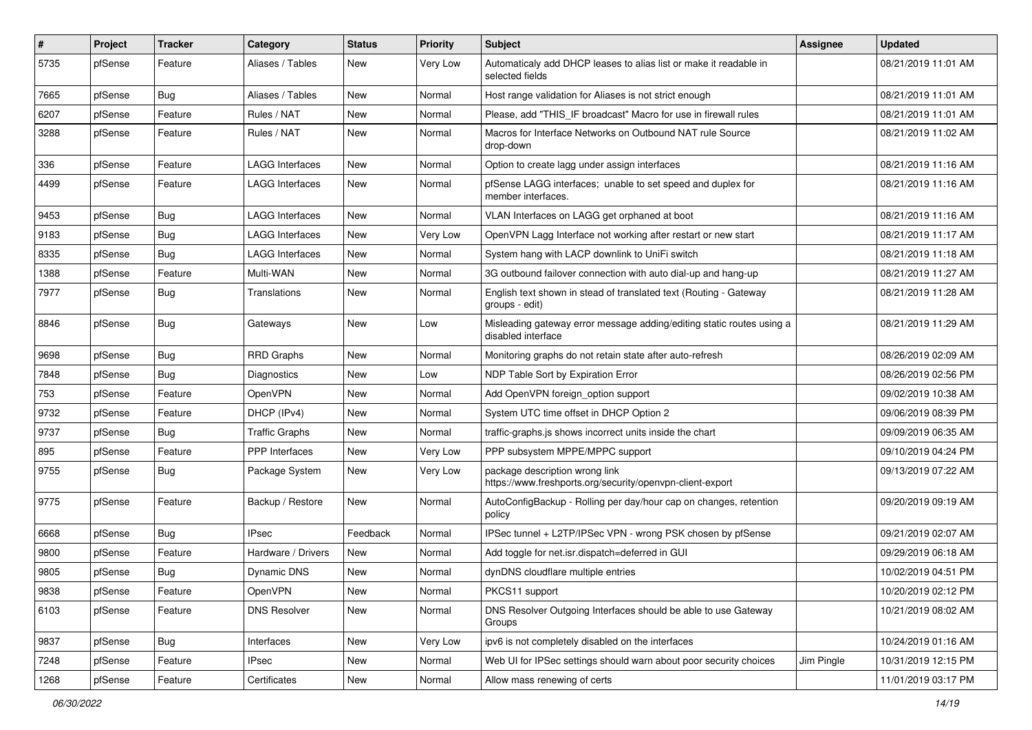| $\vert$ # | Project | <b>Tracker</b> | Category               | <b>Status</b> | <b>Priority</b> | Subject                                                                                     | <b>Assignee</b> | <b>Updated</b>      |
|-----------|---------|----------------|------------------------|---------------|-----------------|---------------------------------------------------------------------------------------------|-----------------|---------------------|
| 5735      | pfSense | Feature        | Aliases / Tables       | New           | Very Low        | Automaticaly add DHCP leases to alias list or make it readable in<br>selected fields        |                 | 08/21/2019 11:01 AM |
| 7665      | pfSense | Bug            | Aliases / Tables       | <b>New</b>    | Normal          | Host range validation for Aliases is not strict enough                                      |                 | 08/21/2019 11:01 AM |
| 6207      | pfSense | Feature        | Rules / NAT            | <b>New</b>    | Normal          | Please, add "THIS IF broadcast" Macro for use in firewall rules                             |                 | 08/21/2019 11:01 AM |
| 3288      | pfSense | Feature        | Rules / NAT            | <b>New</b>    | Normal          | Macros for Interface Networks on Outbound NAT rule Source<br>drop-down                      |                 | 08/21/2019 11:02 AM |
| 336       | pfSense | Feature        | <b>LAGG Interfaces</b> | <b>New</b>    | Normal          | Option to create lagg under assign interfaces                                               |                 | 08/21/2019 11:16 AM |
| 4499      | pfSense | Feature        | <b>LAGG Interfaces</b> | New           | Normal          | pfSense LAGG interfaces; unable to set speed and duplex for<br>member interfaces.           |                 | 08/21/2019 11:16 AM |
| 9453      | pfSense | Bug            | <b>LAGG Interfaces</b> | <b>New</b>    | Normal          | VLAN Interfaces on LAGG get orphaned at boot                                                |                 | 08/21/2019 11:16 AM |
| 9183      | pfSense | Bug            | <b>LAGG Interfaces</b> | New           | Very Low        | OpenVPN Lagg Interface not working after restart or new start                               |                 | 08/21/2019 11:17 AM |
| 8335      | pfSense | Bug            | <b>LAGG Interfaces</b> | New           | Normal          | System hang with LACP downlink to UniFi switch                                              |                 | 08/21/2019 11:18 AM |
| 1388      | pfSense | Feature        | Multi-WAN              | New           | Normal          | 3G outbound failover connection with auto dial-up and hang-up                               |                 | 08/21/2019 11:27 AM |
| 7977      | pfSense | <b>Bug</b>     | Translations           | New           | Normal          | English text shown in stead of translated text (Routing - Gateway<br>groups - edit)         |                 | 08/21/2019 11:28 AM |
| 8846      | pfSense | <b>Bug</b>     | Gateways               | New           | Low             | Misleading gateway error message adding/editing static routes using a<br>disabled interface |                 | 08/21/2019 11:29 AM |
| 9698      | pfSense | Bug            | <b>RRD Graphs</b>      | <b>New</b>    | Normal          | Monitoring graphs do not retain state after auto-refresh                                    |                 | 08/26/2019 02:09 AM |
| 7848      | pfSense | Bug            | <b>Diagnostics</b>     | New           | Low             | NDP Table Sort by Expiration Error                                                          |                 | 08/26/2019 02:56 PM |
| 753       | pfSense | Feature        | OpenVPN                | New           | Normal          | Add OpenVPN foreign option support                                                          |                 | 09/02/2019 10:38 AM |
| 9732      | pfSense | Feature        | DHCP (IPv4)            | <b>New</b>    | Normal          | System UTC time offset in DHCP Option 2                                                     |                 | 09/06/2019 08:39 PM |
| 9737      | pfSense | <b>Bug</b>     | <b>Traffic Graphs</b>  | New           | Normal          | traffic-graphs.js shows incorrect units inside the chart                                    |                 | 09/09/2019 06:35 AM |
| 895       | pfSense | Feature        | <b>PPP</b> Interfaces  | <b>New</b>    | Very Low        | PPP subsystem MPPE/MPPC support                                                             |                 | 09/10/2019 04:24 PM |
| 9755      | pfSense | <b>Bug</b>     | Package System         | New           | Very Low        | package description wrong link<br>https://www.freshports.org/security/openvpn-client-export |                 | 09/13/2019 07:22 AM |
| 9775      | pfSense | Feature        | Backup / Restore       | <b>New</b>    | Normal          | AutoConfigBackup - Rolling per day/hour cap on changes, retention<br>policy                 |                 | 09/20/2019 09:19 AM |
| 6668      | pfSense | Bug            | <b>IPsec</b>           | Feedback      | Normal          | IPSec tunnel + L2TP/IPSec VPN - wrong PSK chosen by pfSense                                 |                 | 09/21/2019 02:07 AM |
| 9800      | pfSense | Feature        | Hardware / Drivers     | <b>New</b>    | Normal          | Add toggle for net.isr.dispatch=deferred in GUI                                             |                 | 09/29/2019 06:18 AM |
| 9805      | pfSense | <b>Bug</b>     | Dynamic DNS            | New           | Normal          | dynDNS cloudflare multiple entries                                                          |                 | 10/02/2019 04:51 PM |
| 9838      | pfSense | Feature        | OpenVPN                | New           | Normal          | PKCS11 support                                                                              |                 | 10/20/2019 02:12 PM |
| 6103      | pfSense | Feature        | <b>DNS Resolver</b>    | New           | Normal          | DNS Resolver Outgoing Interfaces should be able to use Gateway<br>Groups                    |                 | 10/21/2019 08:02 AM |
| 9837      | pfSense | Bug            | Interfaces             | New           | Very Low        | ipv6 is not completely disabled on the interfaces                                           |                 | 10/24/2019 01:16 AM |
| 7248      | pfSense | Feature        | <b>IPsec</b>           | New           | Normal          | Web UI for IPSec settings should warn about poor security choices                           | Jim Pingle      | 10/31/2019 12:15 PM |
| 1268      | pfSense | Feature        | Certificates           | New           | Normal          | Allow mass renewing of certs                                                                |                 | 11/01/2019 03:17 PM |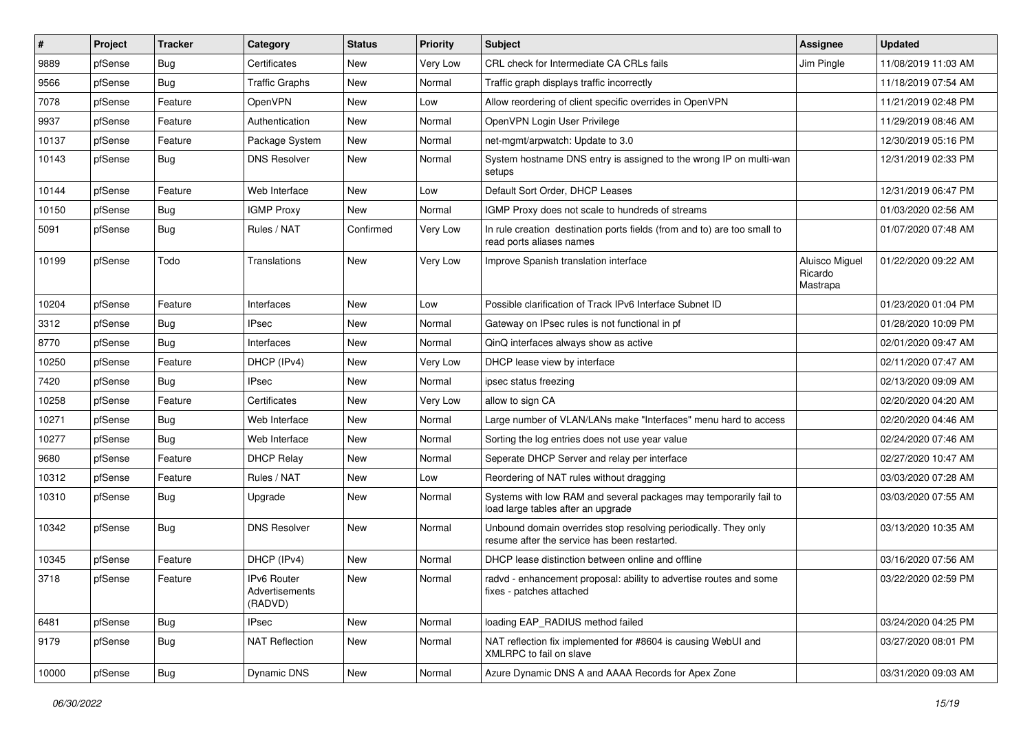| #     | Project | <b>Tracker</b> | Category                                 | <b>Status</b> | <b>Priority</b> | <b>Subject</b>                                                                                                  | <b>Assignee</b>                       | <b>Updated</b>      |
|-------|---------|----------------|------------------------------------------|---------------|-----------------|-----------------------------------------------------------------------------------------------------------------|---------------------------------------|---------------------|
| 9889  | pfSense | Bug            | Certificates                             | New           | Very Low        | CRL check for Intermediate CA CRLs fails                                                                        | Jim Pingle                            | 11/08/2019 11:03 AM |
| 9566  | pfSense | Bug            | <b>Traffic Graphs</b>                    | <b>New</b>    | Normal          | Traffic graph displays traffic incorrectly                                                                      |                                       | 11/18/2019 07:54 AM |
| 7078  | pfSense | Feature        | <b>OpenVPN</b>                           | New           | Low             | Allow reordering of client specific overrides in OpenVPN                                                        |                                       | 11/21/2019 02:48 PM |
| 9937  | pfSense | Feature        | Authentication                           | <b>New</b>    | Normal          | OpenVPN Login User Privilege                                                                                    |                                       | 11/29/2019 08:46 AM |
| 10137 | pfSense | Feature        | Package System                           | <b>New</b>    | Normal          | net-mgmt/arpwatch: Update to 3.0                                                                                |                                       | 12/30/2019 05:16 PM |
| 10143 | pfSense | Bug            | <b>DNS Resolver</b>                      | New           | Normal          | System hostname DNS entry is assigned to the wrong IP on multi-wan<br>setups                                    |                                       | 12/31/2019 02:33 PM |
| 10144 | pfSense | Feature        | Web Interface                            | <b>New</b>    | Low             | Default Sort Order, DHCP Leases                                                                                 |                                       | 12/31/2019 06:47 PM |
| 10150 | pfSense | Bug            | <b>IGMP Proxy</b>                        | <b>New</b>    | Normal          | IGMP Proxy does not scale to hundreds of streams                                                                |                                       | 01/03/2020 02:56 AM |
| 5091  | pfSense | <b>Bug</b>     | Rules / NAT                              | Confirmed     | Very Low        | In rule creation destination ports fields (from and to) are too small to<br>read ports aliases names            |                                       | 01/07/2020 07:48 AM |
| 10199 | pfSense | Todo           | Translations                             | <b>New</b>    | Very Low        | Improve Spanish translation interface                                                                           | Aluisco Miguel<br>Ricardo<br>Mastrapa | 01/22/2020 09:22 AM |
| 10204 | pfSense | Feature        | Interfaces                               | <b>New</b>    | Low             | Possible clarification of Track IPv6 Interface Subnet ID                                                        |                                       | 01/23/2020 01:04 PM |
| 3312  | pfSense | Bug            | <b>IPsec</b>                             | <b>New</b>    | Normal          | Gateway on IPsec rules is not functional in pf                                                                  |                                       | 01/28/2020 10:09 PM |
| 8770  | pfSense | Bug            | Interfaces                               | New           | Normal          | QinQ interfaces always show as active                                                                           |                                       | 02/01/2020 09:47 AM |
| 10250 | pfSense | Feature        | DHCP (IPv4)                              | <b>New</b>    | Very Low        | DHCP lease view by interface                                                                                    |                                       | 02/11/2020 07:47 AM |
| 7420  | pfSense | Bug            | <b>IPsec</b>                             | New           | Normal          | ipsec status freezing                                                                                           |                                       | 02/13/2020 09:09 AM |
| 10258 | pfSense | Feature        | Certificates                             | <b>New</b>    | Very Low        | allow to sign CA                                                                                                |                                       | 02/20/2020 04:20 AM |
| 10271 | pfSense | Bug            | Web Interface                            | <b>New</b>    | Normal          | Large number of VLAN/LANs make "Interfaces" menu hard to access                                                 |                                       | 02/20/2020 04:46 AM |
| 10277 | pfSense | Bug            | Web Interface                            | <b>New</b>    | Normal          | Sorting the log entries does not use year value                                                                 |                                       | 02/24/2020 07:46 AM |
| 9680  | pfSense | Feature        | <b>DHCP Relay</b>                        | <b>New</b>    | Normal          | Seperate DHCP Server and relay per interface                                                                    |                                       | 02/27/2020 10:47 AM |
| 10312 | pfSense | Feature        | Rules / NAT                              | <b>New</b>    | Low             | Reordering of NAT rules without dragging                                                                        |                                       | 03/03/2020 07:28 AM |
| 10310 | pfSense | Bug            | Upgrade                                  | New           | Normal          | Systems with low RAM and several packages may temporarily fail to<br>load large tables after an upgrade         |                                       | 03/03/2020 07:55 AM |
| 10342 | pfSense | Bug            | <b>DNS Resolver</b>                      | New           | Normal          | Unbound domain overrides stop resolving periodically. They only<br>resume after the service has been restarted. |                                       | 03/13/2020 10:35 AM |
| 10345 | pfSense | Feature        | DHCP (IPv4)                              | <b>New</b>    | Normal          | DHCP lease distinction between online and offline                                                               |                                       | 03/16/2020 07:56 AM |
| 3718  | pfSense | Feature        | IPv6 Router<br>Advertisements<br>(RADVD) | New           | Normal          | radvd - enhancement proposal: ability to advertise routes and some<br>fixes - patches attached                  |                                       | 03/22/2020 02:59 PM |
| 6481  | pfSense | <b>Bug</b>     | <b>IPsec</b>                             | New           | Normal          | loading EAP_RADIUS method failed                                                                                |                                       | 03/24/2020 04:25 PM |
| 9179  | pfSense | <b>Bug</b>     | <b>NAT Reflection</b>                    | New           | Normal          | NAT reflection fix implemented for #8604 is causing WebUI and<br>XMLRPC to fail on slave                        |                                       | 03/27/2020 08:01 PM |
| 10000 | pfSense | Bug            | <b>Dynamic DNS</b>                       | New           | Normal          | Azure Dynamic DNS A and AAAA Records for Apex Zone                                                              |                                       | 03/31/2020 09:03 AM |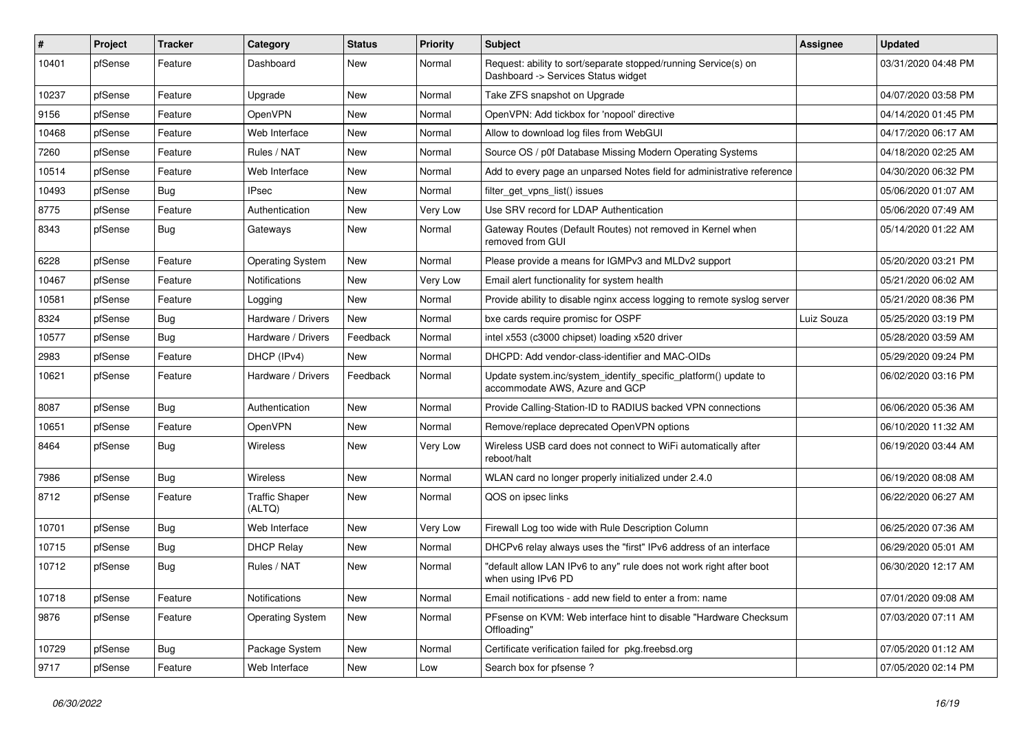| $\#$  | Project | <b>Tracker</b> | Category                        | <b>Status</b> | <b>Priority</b> | Subject                                                                                                | Assignee   | <b>Updated</b>      |
|-------|---------|----------------|---------------------------------|---------------|-----------------|--------------------------------------------------------------------------------------------------------|------------|---------------------|
| 10401 | pfSense | Feature        | Dashboard                       | New           | Normal          | Request: ability to sort/separate stopped/running Service(s) on<br>Dashboard -> Services Status widget |            | 03/31/2020 04:48 PM |
| 10237 | pfSense | Feature        | Upgrade                         | New           | Normal          | Take ZFS snapshot on Upgrade                                                                           |            | 04/07/2020 03:58 PM |
| 9156  | pfSense | Feature        | OpenVPN                         | <b>New</b>    | Normal          | OpenVPN: Add tickbox for 'nopool' directive                                                            |            | 04/14/2020 01:45 PM |
| 10468 | pfSense | Feature        | Web Interface                   | <b>New</b>    | Normal          | Allow to download log files from WebGUI                                                                |            | 04/17/2020 06:17 AM |
| 7260  | pfSense | Feature        | Rules / NAT                     | New           | Normal          | Source OS / p0f Database Missing Modern Operating Systems                                              |            | 04/18/2020 02:25 AM |
| 10514 | pfSense | Feature        | Web Interface                   | New           | Normal          | Add to every page an unparsed Notes field for administrative reference                                 |            | 04/30/2020 06:32 PM |
| 10493 | pfSense | Bug            | <b>IPsec</b>                    | New           | Normal          | filter_get_vpns_list() issues                                                                          |            | 05/06/2020 01:07 AM |
| 8775  | pfSense | Feature        | Authentication                  | <b>New</b>    | Very Low        | Use SRV record for LDAP Authentication                                                                 |            | 05/06/2020 07:49 AM |
| 8343  | pfSense | Bug            | Gateways                        | <b>New</b>    | Normal          | Gateway Routes (Default Routes) not removed in Kernel when<br>removed from GUI                         |            | 05/14/2020 01:22 AM |
| 6228  | pfSense | Feature        | <b>Operating System</b>         | New           | Normal          | Please provide a means for IGMPv3 and MLDv2 support                                                    |            | 05/20/2020 03:21 PM |
| 10467 | pfSense | Feature        | Notifications                   | <b>New</b>    | Very Low        | Email alert functionality for system health                                                            |            | 05/21/2020 06:02 AM |
| 10581 | pfSense | Feature        | Logging                         | New           | Normal          | Provide ability to disable nginx access logging to remote syslog server                                |            | 05/21/2020 08:36 PM |
| 8324  | pfSense | Bug            | Hardware / Drivers              | <b>New</b>    | Normal          | bxe cards require promisc for OSPF                                                                     | Luiz Souza | 05/25/2020 03:19 PM |
| 10577 | pfSense | Bug            | Hardware / Drivers              | Feedback      | Normal          | intel x553 (c3000 chipset) loading x520 driver                                                         |            | 05/28/2020 03:59 AM |
| 2983  | pfSense | Feature        | DHCP (IPv4)                     | New           | Normal          | DHCPD: Add vendor-class-identifier and MAC-OIDs                                                        |            | 05/29/2020 09:24 PM |
| 10621 | pfSense | Feature        | Hardware / Drivers              | Feedback      | Normal          | Update system.inc/system_identify_specific_platform() update to<br>accommodate AWS, Azure and GCP      |            | 06/02/2020 03:16 PM |
| 8087  | pfSense | Bug            | Authentication                  | <b>New</b>    | Normal          | Provide Calling-Station-ID to RADIUS backed VPN connections                                            |            | 06/06/2020 05:36 AM |
| 10651 | pfSense | Feature        | OpenVPN                         | <b>New</b>    | Normal          | Remove/replace deprecated OpenVPN options                                                              |            | 06/10/2020 11:32 AM |
| 8464  | pfSense | Bug            | Wireless                        | New           | Very Low        | Wireless USB card does not connect to WiFi automatically after<br>reboot/halt                          |            | 06/19/2020 03:44 AM |
| 7986  | pfSense | Bug            | Wireless                        | <b>New</b>    | Normal          | WLAN card no longer properly initialized under 2.4.0                                                   |            | 06/19/2020 08:08 AM |
| 8712  | pfSense | Feature        | <b>Traffic Shaper</b><br>(ALTQ) | New           | Normal          | QOS on ipsec links                                                                                     |            | 06/22/2020 06:27 AM |
| 10701 | pfSense | Bug            | Web Interface                   | New           | Very Low        | Firewall Log too wide with Rule Description Column                                                     |            | 06/25/2020 07:36 AM |
| 10715 | pfSense | Bug            | <b>DHCP Relay</b>               | New           | Normal          | DHCPv6 relay always uses the "first" IPv6 address of an interface                                      |            | 06/29/2020 05:01 AM |
| 10712 | pfSense | Bug            | Rules / NAT                     | New           | Normal          | "default allow LAN IPv6 to any" rule does not work right after boot<br>when using IPv6 PD              |            | 06/30/2020 12:17 AM |
| 10718 | pfSense | Feature        | Notifications                   | New           | Normal          | Email notifications - add new field to enter a from: name                                              |            | 07/01/2020 09:08 AM |
| 9876  | pfSense | Feature        | <b>Operating System</b>         | New           | Normal          | PFsense on KVM: Web interface hint to disable "Hardware Checksum<br>Offloading"                        |            | 07/03/2020 07:11 AM |
| 10729 | pfSense | <b>Bug</b>     | Package System                  | New           | Normal          | Certificate verification failed for pkg.freebsd.org                                                    |            | 07/05/2020 01:12 AM |
| 9717  | pfSense | Feature        | Web Interface                   | New           | Low             | Search box for pfsense ?                                                                               |            | 07/05/2020 02:14 PM |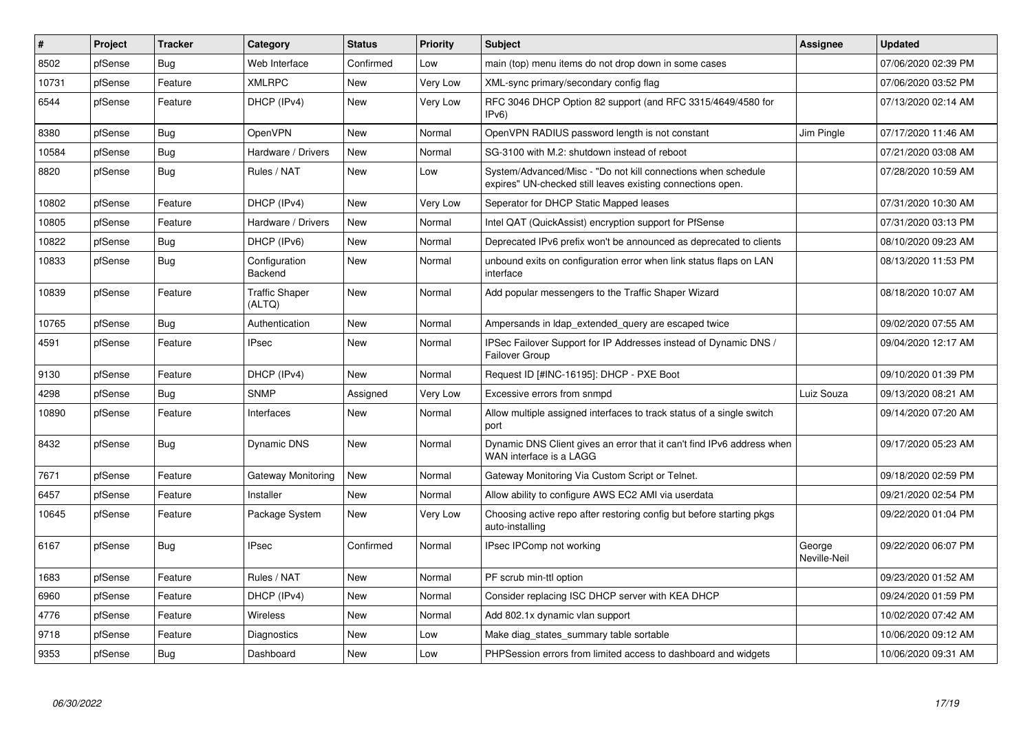| $\pmb{\#}$ | Project | Tracker    | Category                        | <b>Status</b> | Priority | <b>Subject</b>                                                                                                               | Assignee               | <b>Updated</b>      |
|------------|---------|------------|---------------------------------|---------------|----------|------------------------------------------------------------------------------------------------------------------------------|------------------------|---------------------|
| 8502       | pfSense | Bug        | Web Interface                   | Confirmed     | Low      | main (top) menu items do not drop down in some cases                                                                         |                        | 07/06/2020 02:39 PM |
| 10731      | pfSense | Feature    | <b>XMLRPC</b>                   | <b>New</b>    | Very Low | XML-sync primary/secondary config flag                                                                                       |                        | 07/06/2020 03:52 PM |
| 6544       | pfSense | Feature    | DHCP (IPv4)                     | <b>New</b>    | Very Low | RFC 3046 DHCP Option 82 support (and RFC 3315/4649/4580 for<br>IPv6                                                          |                        | 07/13/2020 02:14 AM |
| 8380       | pfSense | Bug        | <b>OpenVPN</b>                  | <b>New</b>    | Normal   | OpenVPN RADIUS password length is not constant                                                                               | Jim Pingle             | 07/17/2020 11:46 AM |
| 10584      | pfSense | <b>Bug</b> | Hardware / Drivers              | New           | Normal   | SG-3100 with M.2: shutdown instead of reboot                                                                                 |                        | 07/21/2020 03:08 AM |
| 8820       | pfSense | <b>Bug</b> | Rules / NAT                     | <b>New</b>    | Low      | System/Advanced/Misc - "Do not kill connections when schedule<br>expires" UN-checked still leaves existing connections open. |                        | 07/28/2020 10:59 AM |
| 10802      | pfSense | Feature    | DHCP (IPv4)                     | <b>New</b>    | Very Low | Seperator for DHCP Static Mapped leases                                                                                      |                        | 07/31/2020 10:30 AM |
| 10805      | pfSense | Feature    | Hardware / Drivers              | New           | Normal   | Intel QAT (QuickAssist) encryption support for PfSense                                                                       |                        | 07/31/2020 03:13 PM |
| 10822      | pfSense | <b>Bug</b> | DHCP (IPv6)                     | New           | Normal   | Deprecated IPv6 prefix won't be announced as deprecated to clients                                                           |                        | 08/10/2020 09:23 AM |
| 10833      | pfSense | Bug        | Configuration<br>Backend        | New           | Normal   | unbound exits on configuration error when link status flaps on LAN<br>interface                                              |                        | 08/13/2020 11:53 PM |
| 10839      | pfSense | Feature    | <b>Traffic Shaper</b><br>(ALTQ) | New           | Normal   | Add popular messengers to the Traffic Shaper Wizard                                                                          |                        | 08/18/2020 10:07 AM |
| 10765      | pfSense | Bug        | Authentication                  | New           | Normal   | Ampersands in Idap_extended_query are escaped twice                                                                          |                        | 09/02/2020 07:55 AM |
| 4591       | pfSense | Feature    | <b>IPsec</b>                    | New           | Normal   | IPSec Failover Support for IP Addresses instead of Dynamic DNS /<br>Failover Group                                           |                        | 09/04/2020 12:17 AM |
| 9130       | pfSense | Feature    | DHCP (IPv4)                     | New           | Normal   | Request ID [#INC-16195]: DHCP - PXE Boot                                                                                     |                        | 09/10/2020 01:39 PM |
| 4298       | pfSense | Bug        | <b>SNMP</b>                     | Assigned      | Very Low | Excessive errors from snmpd                                                                                                  | Luiz Souza             | 09/13/2020 08:21 AM |
| 10890      | pfSense | Feature    | Interfaces                      | New           | Normal   | Allow multiple assigned interfaces to track status of a single switch<br>port                                                |                        | 09/14/2020 07:20 AM |
| 8432       | pfSense | <b>Bug</b> | Dynamic DNS                     | New           | Normal   | Dynamic DNS Client gives an error that it can't find IPv6 address when<br>WAN interface is a LAGG                            |                        | 09/17/2020 05:23 AM |
| 7671       | pfSense | Feature    | Gateway Monitoring              | New           | Normal   | Gateway Monitoring Via Custom Script or Telnet.                                                                              |                        | 09/18/2020 02:59 PM |
| 6457       | pfSense | Feature    | Installer                       | New           | Normal   | Allow ability to configure AWS EC2 AMI via userdata                                                                          |                        | 09/21/2020 02:54 PM |
| 10645      | pfSense | Feature    | Package System                  | New           | Very Low | Choosing active repo after restoring config but before starting pkgs<br>auto-installing                                      |                        | 09/22/2020 01:04 PM |
| 6167       | pfSense | Bug        | <b>IPsec</b>                    | Confirmed     | Normal   | IPsec IPComp not working                                                                                                     | George<br>Neville-Neil | 09/22/2020 06:07 PM |
| 1683       | pfSense | Feature    | Rules / NAT                     | New           | Normal   | PF scrub min-ttl option                                                                                                      |                        | 09/23/2020 01:52 AM |
| 6960       | pfSense | Feature    | DHCP (IPv4)                     | New           | Normal   | Consider replacing ISC DHCP server with KEA DHCP                                                                             |                        | 09/24/2020 01:59 PM |
| 4776       | pfSense | Feature    | Wireless                        | New           | Normal   | Add 802.1x dynamic vlan support                                                                                              |                        | 10/02/2020 07:42 AM |
| 9718       | pfSense | Feature    | Diagnostics                     | New           | Low      | Make diag states summary table sortable                                                                                      |                        | 10/06/2020 09:12 AM |
| 9353       | pfSense | <b>Bug</b> | Dashboard                       | New           | Low      | PHPSession errors from limited access to dashboard and widgets                                                               |                        | 10/06/2020 09:31 AM |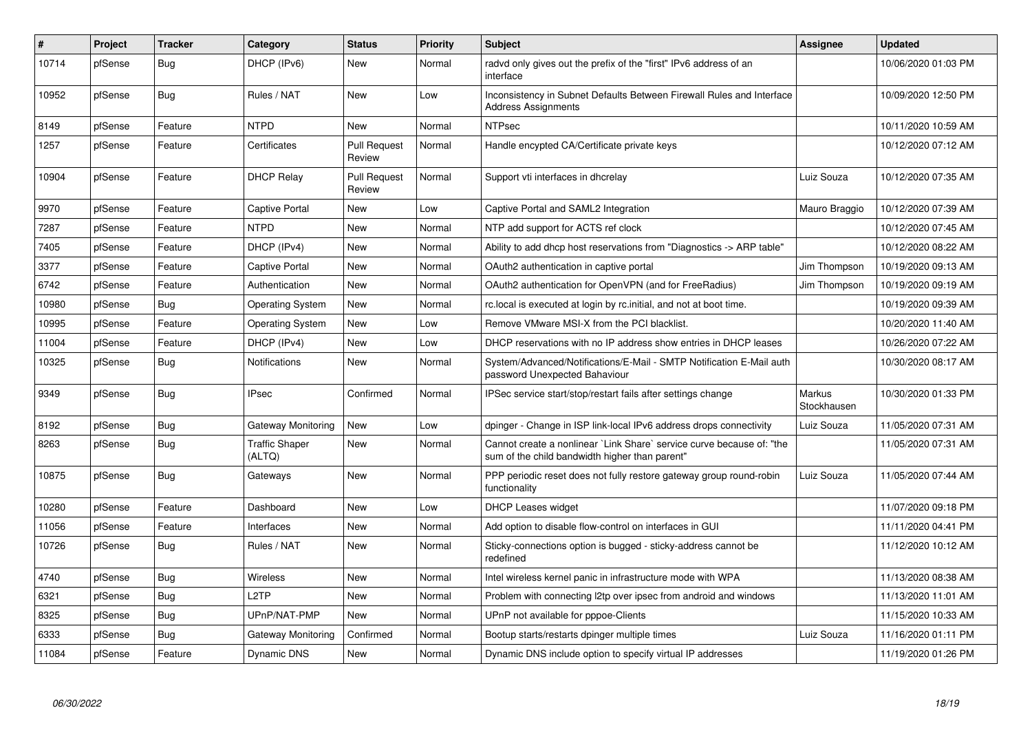| #     | <b>Project</b> | <b>Tracker</b> | Category                        | <b>Status</b>                 | <b>Priority</b> | <b>Subject</b>                                                                                                          | Assignee              | <b>Updated</b>      |
|-------|----------------|----------------|---------------------------------|-------------------------------|-----------------|-------------------------------------------------------------------------------------------------------------------------|-----------------------|---------------------|
| 10714 | pfSense        | Bug            | DHCP (IPv6)                     | <b>New</b>                    | Normal          | radyd only gives out the prefix of the "first" IPv6 address of an<br>interface                                          |                       | 10/06/2020 01:03 PM |
| 10952 | pfSense        | Bug            | Rules / NAT                     | New                           | Low             | Inconsistency in Subnet Defaults Between Firewall Rules and Interface<br><b>Address Assignments</b>                     |                       | 10/09/2020 12:50 PM |
| 8149  | pfSense        | Feature        | <b>NTPD</b>                     | <b>New</b>                    | Normal          | <b>NTPsec</b>                                                                                                           |                       | 10/11/2020 10:59 AM |
| 1257  | pfSense        | Feature        | Certificates                    | <b>Pull Request</b><br>Review | Normal          | Handle encypted CA/Certificate private keys                                                                             |                       | 10/12/2020 07:12 AM |
| 10904 | pfSense        | Feature        | <b>DHCP Relay</b>               | <b>Pull Request</b><br>Review | Normal          | Support vti interfaces in dhcrelay                                                                                      | Luiz Souza            | 10/12/2020 07:35 AM |
| 9970  | pfSense        | Feature        | <b>Captive Portal</b>           | New                           | Low             | Captive Portal and SAML2 Integration                                                                                    | Mauro Braggio         | 10/12/2020 07:39 AM |
| 7287  | pfSense        | Feature        | <b>NTPD</b>                     | New                           | Normal          | NTP add support for ACTS ref clock                                                                                      |                       | 10/12/2020 07:45 AM |
| 7405  | pfSense        | Feature        | DHCP (IPv4)                     | <b>New</b>                    | Normal          | Ability to add dhcp host reservations from "Diagnostics -> ARP table"                                                   |                       | 10/12/2020 08:22 AM |
| 3377  | pfSense        | Feature        | <b>Captive Portal</b>           | <b>New</b>                    | Normal          | OAuth2 authentication in captive portal                                                                                 | Jim Thompson          | 10/19/2020 09:13 AM |
| 6742  | pfSense        | Feature        | Authentication                  | New                           | Normal          | OAuth2 authentication for OpenVPN (and for FreeRadius)                                                                  | Jim Thompson          | 10/19/2020 09:19 AM |
| 10980 | pfSense        | <b>Bug</b>     | <b>Operating System</b>         | New                           | Normal          | rc.local is executed at login by rc.initial, and not at boot time.                                                      |                       | 10/19/2020 09:39 AM |
| 10995 | pfSense        | Feature        | <b>Operating System</b>         | <b>New</b>                    | Low             | Remove VMware MSI-X from the PCI blacklist.                                                                             |                       | 10/20/2020 11:40 AM |
| 11004 | pfSense        | Feature        | DHCP (IPv4)                     | New                           | Low             | DHCP reservations with no IP address show entries in DHCP leases                                                        |                       | 10/26/2020 07:22 AM |
| 10325 | pfSense        | <b>Bug</b>     | <b>Notifications</b>            | New                           | Normal          | System/Advanced/Notifications/E-Mail - SMTP Notification E-Mail auth<br>password Unexpected Bahaviour                   |                       | 10/30/2020 08:17 AM |
| 9349  | pfSense        | Bug            | <b>IPsec</b>                    | Confirmed                     | Normal          | IPSec service start/stop/restart fails after settings change                                                            | Markus<br>Stockhausen | 10/30/2020 01:33 PM |
| 8192  | pfSense        | Bug            | Gateway Monitoring              | New                           | Low             | dpinger - Change in ISP link-local IPv6 address drops connectivity                                                      | Luiz Souza            | 11/05/2020 07:31 AM |
| 8263  | pfSense        | <b>Bug</b>     | <b>Traffic Shaper</b><br>(ALTQ) | New                           | Normal          | Cannot create a nonlinear `Link Share` service curve because of: "the<br>sum of the child bandwidth higher than parent" |                       | 11/05/2020 07:31 AM |
| 10875 | pfSense        | Bug            | Gateways                        | New                           | Normal          | PPP periodic reset does not fully restore gateway group round-robin<br>functionality                                    | Luiz Souza            | 11/05/2020 07:44 AM |
| 10280 | pfSense        | Feature        | Dashboard                       | New                           | Low             | DHCP Leases widget                                                                                                      |                       | 11/07/2020 09:18 PM |
| 11056 | pfSense        | Feature        | Interfaces                      | New                           | Normal          | Add option to disable flow-control on interfaces in GUI                                                                 |                       | 11/11/2020 04:41 PM |
| 10726 | pfSense        | <b>Bug</b>     | Rules / NAT                     | New                           | Normal          | Sticky-connections option is bugged - sticky-address cannot be<br>redefined                                             |                       | 11/12/2020 10:12 AM |
| 4740  | pfSense        | Bug            | Wireless                        | New                           | Normal          | Intel wireless kernel panic in infrastructure mode with WPA                                                             |                       | 11/13/2020 08:38 AM |
| 6321  | pfSense        | <b>Bug</b>     | L <sub>2</sub> TP               | New                           | Normal          | Problem with connecting I2tp over ipsec from android and windows                                                        |                       | 11/13/2020 11:01 AM |
| 8325  | pfSense        | Bug            | UPnP/NAT-PMP                    | New                           | Normal          | UPnP not available for pppoe-Clients                                                                                    |                       | 11/15/2020 10:33 AM |
| 6333  | pfSense        | Bug            | Gateway Monitoring              | Confirmed                     | Normal          | Bootup starts/restarts dpinger multiple times                                                                           | Luiz Souza            | 11/16/2020 01:11 PM |
| 11084 | pfSense        | Feature        | <b>Dynamic DNS</b>              | <b>New</b>                    | Normal          | Dynamic DNS include option to specify virtual IP addresses                                                              |                       | 11/19/2020 01:26 PM |